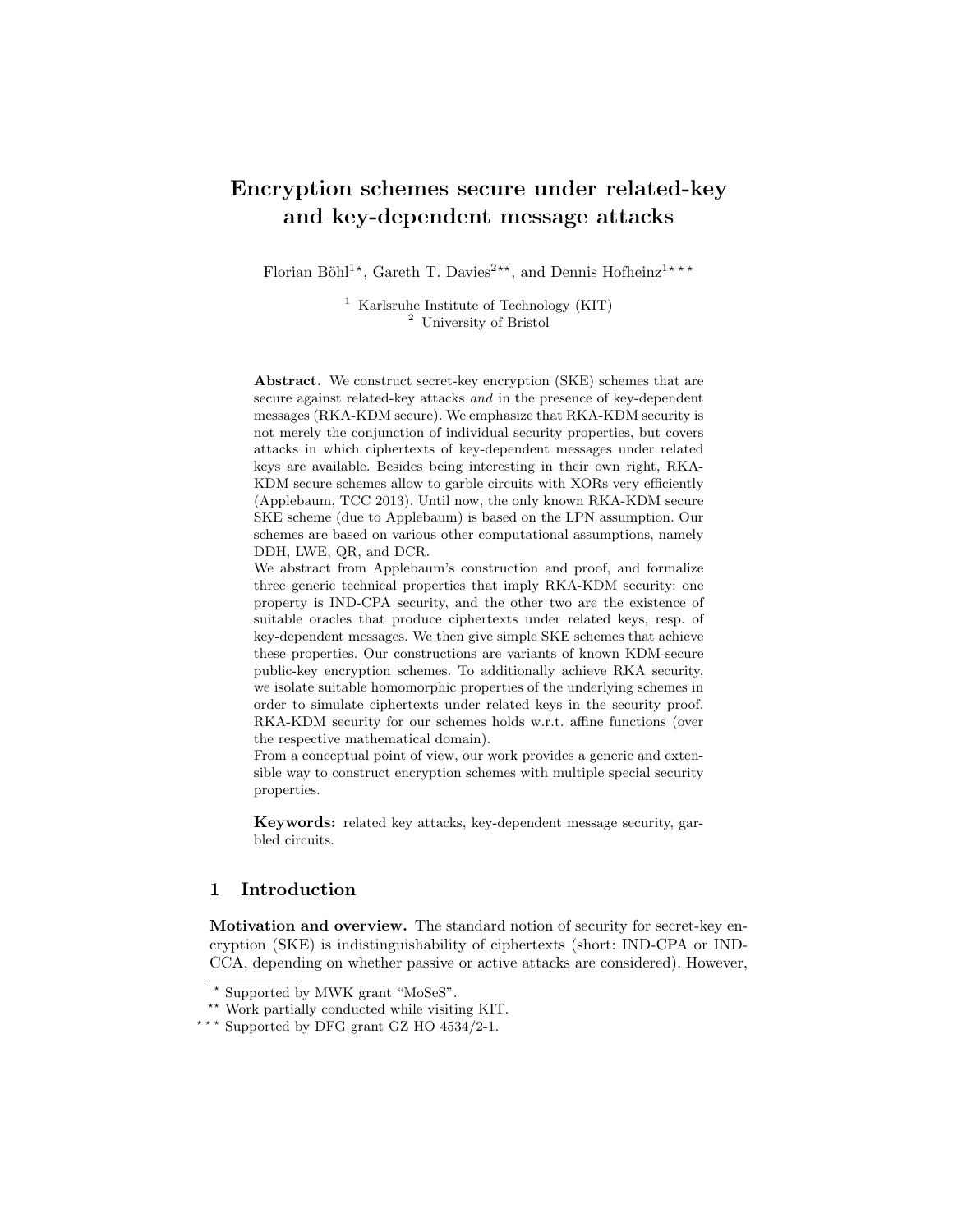# Encryption schemes secure under related-key and key-dependent message attacks

Florian Böhl<sup>1\*</sup>, Gareth T. Davies<sup>2\*\*</sup>, and Dennis Hofheinz<sup>1\*\*\*</sup>

<sup>1</sup> Karlsruhe Institute of Technology (KIT) <sup>2</sup> University of Bristol

Abstract. We construct secret-key encryption (SKE) schemes that are secure against related-key attacks and in the presence of key-dependent messages (RKA-KDM secure). We emphasize that RKA-KDM security is not merely the conjunction of individual security properties, but covers attacks in which ciphertexts of key-dependent messages under related keys are available. Besides being interesting in their own right, RKA-KDM secure schemes allow to garble circuits with XORs very efficiently (Applebaum, TCC 2013). Until now, the only known RKA-KDM secure SKE scheme (due to Applebaum) is based on the LPN assumption. Our schemes are based on various other computational assumptions, namely DDH, LWE, QR, and DCR.

We abstract from Applebaum's construction and proof, and formalize three generic technical properties that imply RKA-KDM security: one property is IND-CPA security, and the other two are the existence of suitable oracles that produce ciphertexts under related keys, resp. of key-dependent messages. We then give simple SKE schemes that achieve these properties. Our constructions are variants of known KDM-secure public-key encryption schemes. To additionally achieve RKA security, we isolate suitable homomorphic properties of the underlying schemes in order to simulate ciphertexts under related keys in the security proof. RKA-KDM security for our schemes holds w.r.t. affine functions (over the respective mathematical domain).

From a conceptual point of view, our work provides a generic and extensible way to construct encryption schemes with multiple special security properties.

Keywords: related key attacks, key-dependent message security, garbled circuits.

# 1 Introduction

Motivation and overview. The standard notion of security for secret-key encryption (SKE) is indistinguishability of ciphertexts (short: IND-CPA or IND-CCA, depending on whether passive or active attacks are considered). However,

<sup>?</sup> Supported by MWK grant "MoSeS".

<sup>\*\*</sup> Work partially conducted while visiting KIT.

<sup>\*\*\*</sup> Supported by DFG grant GZ HO  $4534/2-1$ .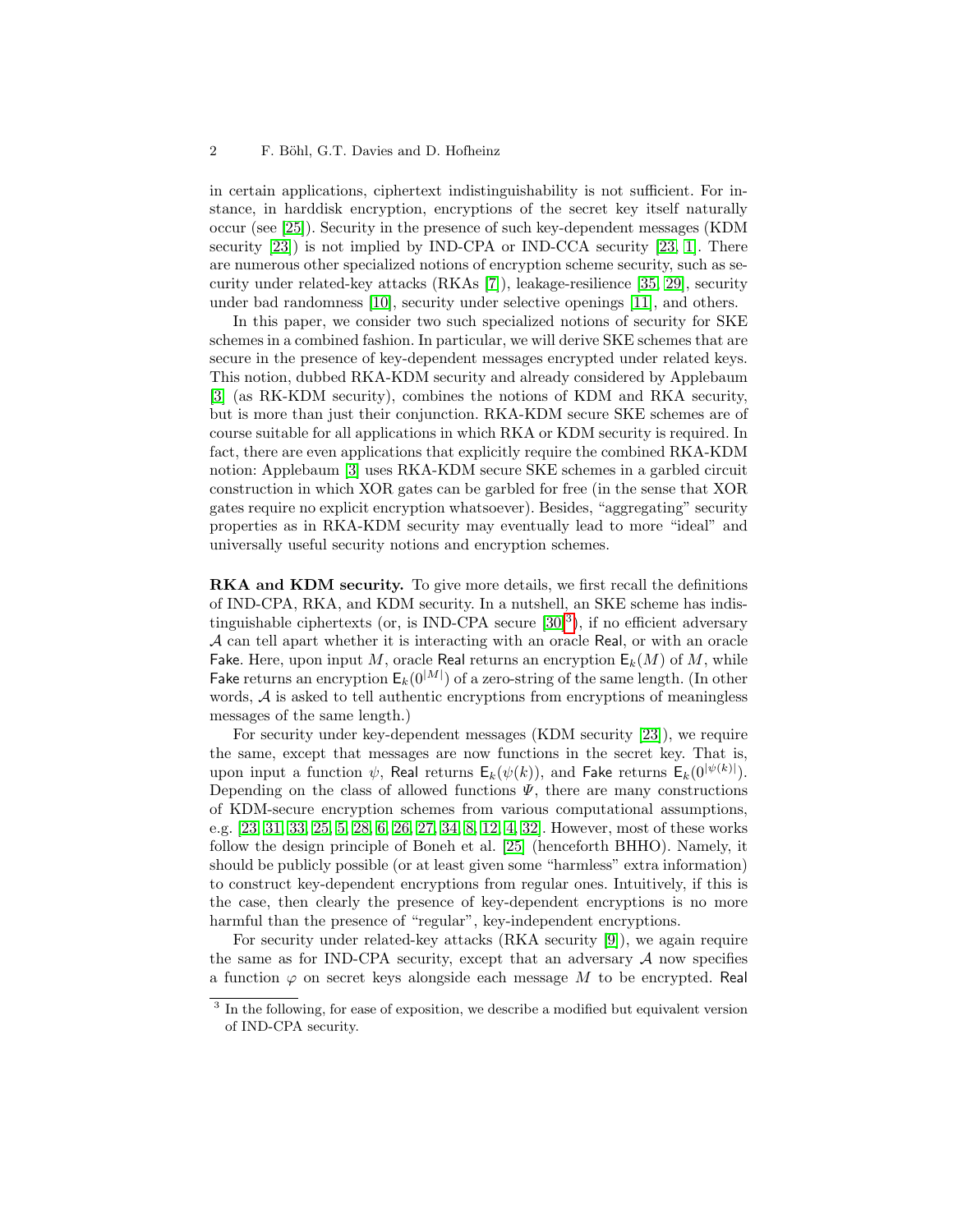in certain applications, ciphertext indistinguishability is not sufficient. For instance, in harddisk encryption, encryptions of the secret key itself naturally occur (see [\[25\]](#page-17-0)). Security in the presence of such key-dependent messages (KDM security [\[23\]](#page-17-1)) is not implied by IND-CPA or IND-CCA security [\[23,](#page-17-1) [1\]](#page-15-0). There are numerous other specialized notions of encryption scheme security, such as security under related-key attacks (RKAs [\[7\]](#page-16-0)), leakage-resilience [\[35,](#page-17-2) [29\]](#page-17-3), security under bad randomness [\[10\]](#page-16-1), security under selective openings [\[11\]](#page-16-2), and others.

In this paper, we consider two such specialized notions of security for SKE schemes in a combined fashion. In particular, we will derive SKE schemes that are secure in the presence of key-dependent messages encrypted under related keys. This notion, dubbed RKA-KDM security and already considered by Applebaum [\[3\]](#page-16-3) (as RK-KDM security), combines the notions of KDM and RKA security, but is more than just their conjunction. RKA-KDM secure SKE schemes are of course suitable for all applications in which RKA or KDM security is required. In fact, there are even applications that explicitly require the combined RKA-KDM notion: Applebaum [\[3\]](#page-16-3) uses RKA-KDM secure SKE schemes in a garbled circuit construction in which XOR gates can be garbled for free (in the sense that XOR gates require no explicit encryption whatsoever). Besides, "aggregating" security properties as in RKA-KDM security may eventually lead to more "ideal" and universally useful security notions and encryption schemes.

RKA and KDM security. To give more details, we first recall the definitions of IND-CPA, RKA, and KDM security. In a nutshell, an SKE scheme has indistinguishable ciphertexts (or, is IND-CPA secure  $[30]^3$  $[30]^3$  $[30]^3$ ), if no efficient adversary A can tell apart whether it is interacting with an oracle Real, or with an oracle Fake. Here, upon input M, oracle Real returns an encryption  $E_k(M)$  of M, while Fake returns an encryption  $E_k(0^{|M|})$  of a zero-string of the same length. (In other words,  $A$  is asked to tell authentic encryptions from encryptions of meaningless messages of the same length.)

For security under key-dependent messages (KDM security [\[23\]](#page-17-1)), we require the same, except that messages are now functions in the secret key. That is, upon input a function  $\psi$ , Real returns  $\mathsf{E}_k(\psi(k))$ , and Fake returns  $\mathsf{E}_k(0^{|\psi(k)|}).$ Depending on the class of allowed functions  $\Psi$ , there are many constructions of KDM-secure encryption schemes from various computational assumptions, e.g. [\[23,](#page-17-1) [31,](#page-17-5) [33,](#page-17-6) [25,](#page-17-0) [5,](#page-16-4) [28,](#page-17-7) [6,](#page-16-5) [26,](#page-17-8) [27,](#page-17-9) [34,](#page-17-10) [8,](#page-16-6) [12,](#page-16-7) [4,](#page-16-8) [32\]](#page-17-11). However, most of these works follow the design principle of Boneh et al. [\[25\]](#page-17-0) (henceforth BHHO). Namely, it should be publicly possible (or at least given some "harmless" extra information) to construct key-dependent encryptions from regular ones. Intuitively, if this is the case, then clearly the presence of key-dependent encryptions is no more harmful than the presence of "regular", key-independent encryptions.

For security under related-key attacks (RKA security [\[9\]](#page-16-9)), we again require the same as for IND-CPA security, except that an adversary  $A$  now specifies a function  $\varphi$  on secret keys alongside each message M to be encrypted. Real

<span id="page-1-0"></span><sup>&</sup>lt;sup>3</sup> In the following, for ease of exposition, we describe a modified but equivalent version of IND-CPA security.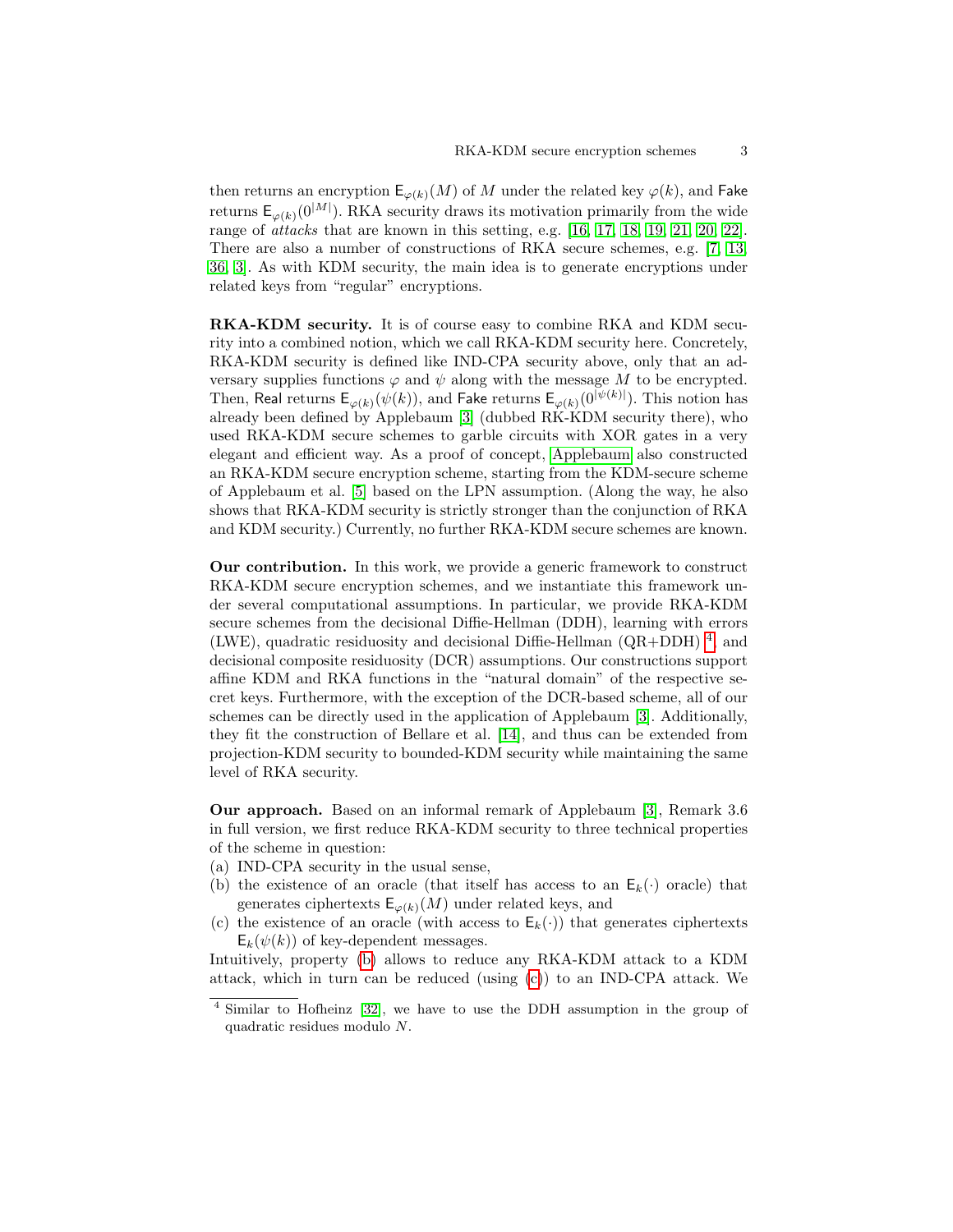then returns an encryption  $\mathsf{E}_{\varphi(k)}(M)$  of M under the related key  $\varphi(k)$ , and Fake returns  $\mathsf{E}_{\varphi(k)}(0^{|M|})$ . RKA security draws its motivation primarily from the wide range of *attacks* that are known in this setting, e.g. [\[16,](#page-16-10) [17,](#page-16-11) [18,](#page-16-12) [19,](#page-16-13) [21,](#page-17-12) [20,](#page-17-13) [22\]](#page-17-14). There are also a number of constructions of RKA secure schemes, e.g. [\[7,](#page-16-0) [13,](#page-16-14) [36,](#page-17-15) [3\]](#page-16-3). As with KDM security, the main idea is to generate encryptions under related keys from "regular" encryptions.

RKA-KDM security. It is of course easy to combine RKA and KDM security into a combined notion, which we call RKA-KDM security here. Concretely, RKA-KDM security is defined like IND-CPA security above, only that an adversary supplies functions  $\varphi$  and  $\psi$  along with the message M to be encrypted. Then, Real returns  $\mathsf{E}_{\varphi(k)}(\psi(k))$ , and Fake returns  $\mathsf{E}_{\varphi(k)}(0^{|\psi(k)|})$ . This notion has already been defined by Applebaum [\[3\]](#page-16-3) (dubbed RK-KDM security there), who used RKA-KDM secure schemes to garble circuits with XOR gates in a very elegant and efficient way. As a proof of concept, [Applebaum](#page-16-3) also constructed an RKA-KDM secure encryption scheme, starting from the KDM-secure scheme of Applebaum et al. [\[5\]](#page-16-4) based on the LPN assumption. (Along the way, he also shows that RKA-KDM security is strictly stronger than the conjunction of RKA and KDM security.) Currently, no further RKA-KDM secure schemes are known.

Our contribution. In this work, we provide a generic framework to construct RKA-KDM secure encryption schemes, and we instantiate this framework under several computational assumptions. In particular, we provide RKA-KDM secure schemes from the decisional Diffie-Hellman (DDH), learning with errors (LWE), quadratic residuosity and decisional Diffie-Hellman  $(QR+DDH)$ <sup>[4](#page-2-0)</sup>, and decisional composite residuosity (DCR) assumptions. Our constructions support affine KDM and RKA functions in the "natural domain" of the respective secret keys. Furthermore, with the exception of the DCR-based scheme, all of our schemes can be directly used in the application of Applebaum [\[3\]](#page-16-3). Additionally, they fit the construction of Bellare et al. [\[14\]](#page-16-15), and thus can be extended from projection-KDM security to bounded-KDM security while maintaining the same level of RKA security.

Our approach. Based on an informal remark of Applebaum [\[3\]](#page-16-3), Remark 3.6 in full version, we first reduce RKA-KDM security to three technical properties of the scheme in question:

- <span id="page-2-3"></span>(a) IND-CPA security in the usual sense,
- <span id="page-2-1"></span>(b) the existence of an oracle (that itself has access to an  $E_k(\cdot)$  oracle) that generates ciphertexts  $\mathsf{E}_{\varphi(k)}(M)$  under related keys, and
- <span id="page-2-2"></span>(c) the existence of an oracle (with access to  $E_k(\cdot)$ ) that generates ciphertexts  $\mathsf{E}_k(\psi(k))$  of key-dependent messages.

Intuitively, property [\(b\)](#page-2-1) allows to reduce any RKA-KDM attack to a KDM attack, which in turn can be reduced (using  $(c)$ ) to an IND-CPA attack. We

<span id="page-2-0"></span><sup>4</sup> Similar to Hofheinz [\[32\]](#page-17-11), we have to use the DDH assumption in the group of quadratic residues modulo N.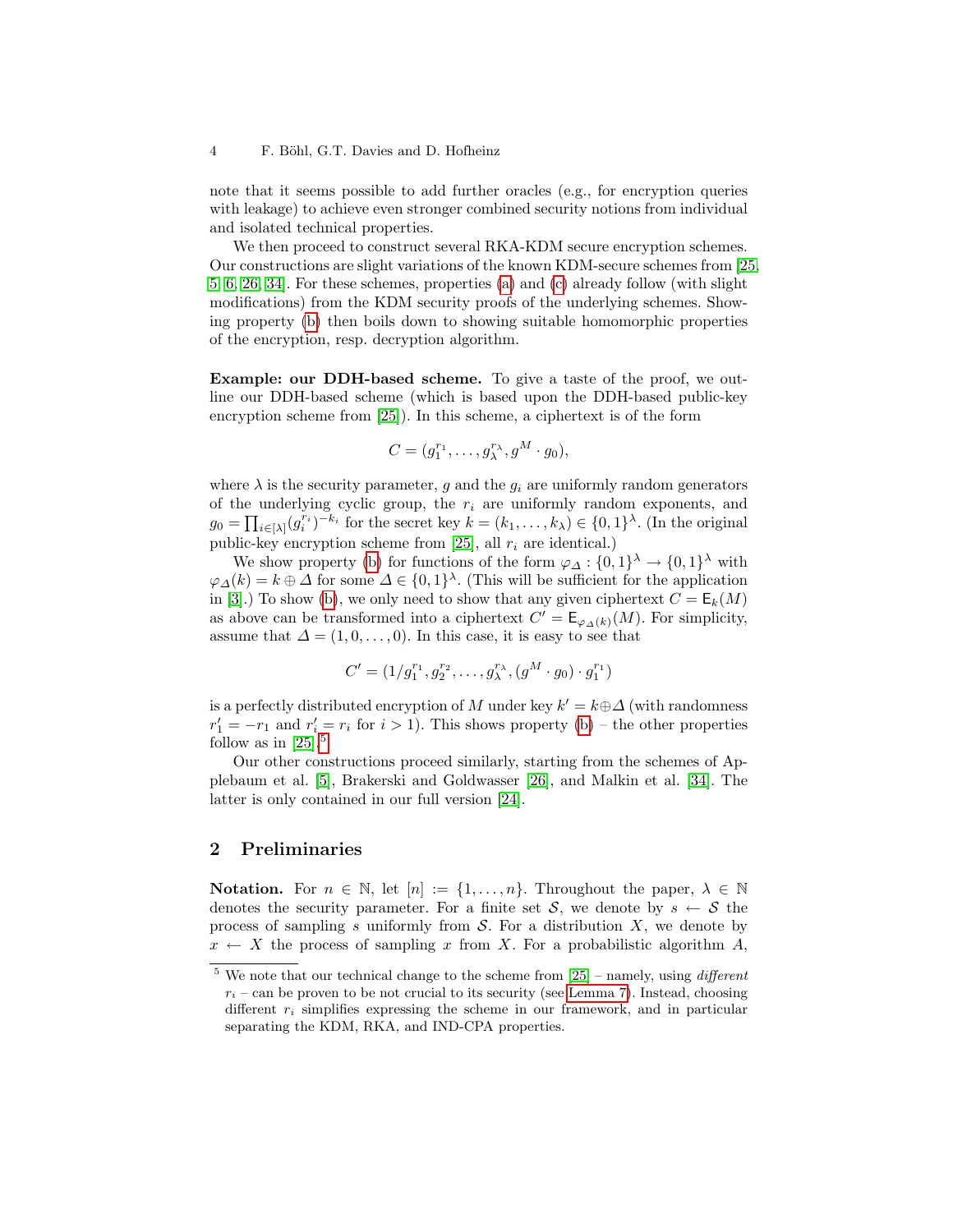note that it seems possible to add further oracles (e.g., for encryption queries with leakage) to achieve even stronger combined security notions from individual and isolated technical properties.

We then proceed to construct several RKA-KDM secure encryption schemes. Our constructions are slight variations of the known KDM-secure schemes from [\[25,](#page-17-0) [5,](#page-16-4) [6,](#page-16-5) [26,](#page-17-8) [34\]](#page-17-10). For these schemes, properties [\(a\)](#page-2-3) and [\(c\)](#page-2-2) already follow (with slight modifications) from the KDM security proofs of the underlying schemes. Showing property [\(b\)](#page-2-1) then boils down to showing suitable homomorphic properties of the encryption, resp. decryption algorithm.

Example: our DDH-based scheme. To give a taste of the proof, we outline our DDH-based scheme (which is based upon the DDH-based public-key encryption scheme from [\[25\]](#page-17-0)). In this scheme, a ciphertext is of the form

$$
C=(g_1^{r_1},\ldots,g_\lambda^{r_\lambda},g^M\cdot g_0),
$$

where  $\lambda$  is the security parameter, g and the  $g_i$  are uniformly random generators of the underlying cyclic group, the  $r_i$  are uniformly random exponents, and  $g_0 = \prod_{i \in [\lambda]} (g_i^{r_i})^{-k_i}$  for the secret key  $k = (k_1, \ldots, k_\lambda) \in \{0, 1\}^\lambda$ . (In the original public-key encryption scheme from [\[25\]](#page-17-0), all  $\boldsymbol{r}_i$  are identical.)

We show property [\(b\)](#page-2-1) for functions of the form  $\varphi_{\Delta} : \{0,1\}^{\lambda} \to \{0,1\}^{\lambda}$  with  $\varphi_{\Delta}(k) = k \oplus \Delta$  for some  $\Delta \in \{0,1\}^{\lambda}$ . (This will be sufficient for the application in [\[3\]](#page-16-3).) To show [\(b\)](#page-2-1), we only need to show that any given ciphertext  $C = \mathsf{E}_k(M)$ as above can be transformed into a ciphertext  $C' = \mathsf{E}_{\varphi_{\Delta}(k)}(M)$ . For simplicity, assume that  $\Delta = (1, 0, \ldots, 0)$ . In this case, it is easy to see that

$$
C' = (1/g_1^{r_1}, g_2^{r_2}, \dots, g_{\lambda}^{r_{\lambda}}, (g^M \cdot g_0) \cdot g_1^{r_1})
$$

is a perfectly distributed encryption of M under key  $k' = k \oplus \Delta$  (with randomness  $r'_1 = -r_1$  and  $r'_i = r_i$  for  $i > 1$ ). This shows property [\(b\)](#page-2-1) – the other properties follow as in  $[25]$ .<sup>[5](#page-3-0)</sup>

Our other constructions proceed similarly, starting from the schemes of Applebaum et al. [\[5\]](#page-16-4), Brakerski and Goldwasser [\[26\]](#page-17-8), and Malkin et al. [\[34\]](#page-17-10). The latter is only contained in our full version [\[24\]](#page-17-16).

# 2 Preliminaries

**Notation.** For  $n \in \mathbb{N}$ , let  $[n] := \{1, ..., n\}$ . Throughout the paper,  $\lambda \in \mathbb{N}$ denotes the security parameter. For a finite set S, we denote by  $s \leftarrow S$  the process of sampling s uniformly from  $S$ . For a distribution  $X$ , we denote by  $x \leftarrow X$  the process of sampling x from X. For a probabilistic algorithm A,

<span id="page-3-0"></span> $5$  We note that our technical change to the scheme from [\[25\]](#page-17-0) – namely, using *different*  $r_i$  – can be proven to be not crucial to its security (see [Lemma 7\)](#page-8-0). Instead, choosing different  $r_i$  simplifies expressing the scheme in our framework, and in particular separating the KDM, RKA, and IND-CPA properties.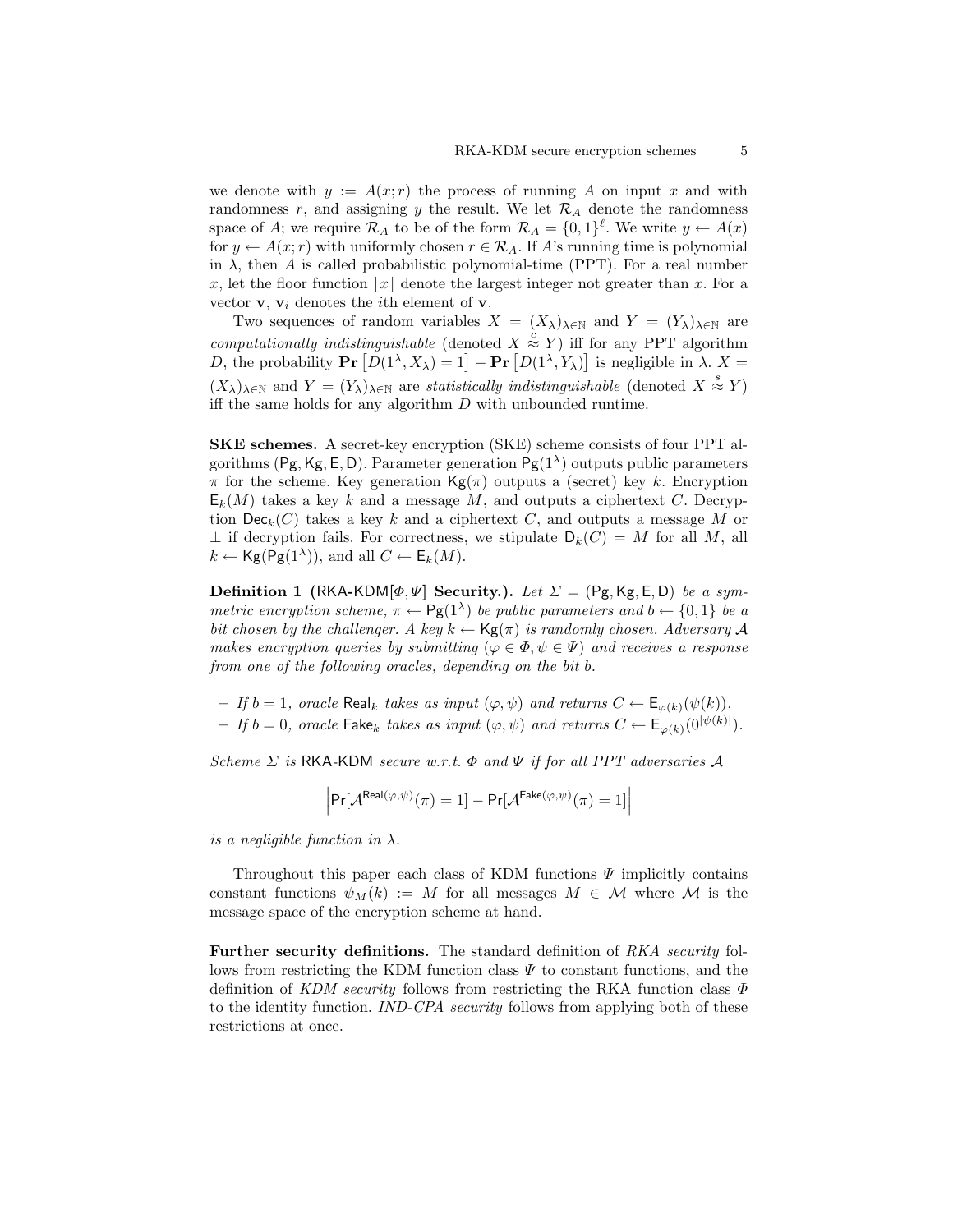we denote with  $y := A(x; r)$  the process of running A on input x and with randomness r, and assigning y the result. We let  $\mathcal{R}_A$  denote the randomness space of A; we require  $\mathcal{R}_A$  to be of the form  $\mathcal{R}_A = \{0,1\}^{\ell}$ . We write  $y \leftarrow A(x)$ for  $y \leftarrow A(x; r)$  with uniformly chosen  $r \in \mathcal{R}_A$ . If A's running time is polynomial in  $\lambda$ , then A is called probabilistic polynomial-time (PPT). For a real number x, let the floor function  $|x|$  denote the largest integer not greater than x. For a vector **v**, **v**<sub>i</sub> denotes the *i*th element of **v**.

Two sequences of random variables  $X = (X_{\lambda})_{\lambda \in \mathbb{N}}$  and  $Y = (Y_{\lambda})_{\lambda \in \mathbb{N}}$  are computationally indistinguishable (denoted  $X \stackrel{c}{\approx} Y$ ) iff for any PPT algorithm D, the probability  $\Pr[D(1^{\lambda}, X_{\lambda}) = 1] - \Pr[D(1^{\lambda}, Y_{\lambda})]$  is negligible in  $\lambda$ .  $X =$  $(X_{\lambda})_{\lambda \in \mathbb{N}}$  and  $Y = (Y_{\lambda})_{\lambda \in \mathbb{N}}$  are *statistically indistinguishable* (denoted  $X \stackrel{s}{\approx} Y$ ) iff the same holds for any algorithm  $D$  with unbounded runtime.

SKE schemes. A secret-key encryption (SKE) scheme consists of four PPT algorithms (Pg, Kg, E, D). Parameter generation  $Pg(1^{\lambda})$  outputs public parameters  $\pi$  for the scheme. Key generation  $\mathsf{Kg}(\pi)$  outputs a (secret) key k. Encryption  $E_k(M)$  takes a key k and a message M, and outputs a ciphertext C. Decryption  $\text{Dec}_k(C)$  takes a key k and a ciphertext C, and outputs a message M or  $\perp$  if decryption fails. For correctness, we stipulate  $D_k(C) = M$  for all M, all  $k \leftarrow \text{Kg}(\text{Pg}(1^{\lambda})),$  and all  $C \leftarrow \text{E}_k(M)$ .

<span id="page-4-0"></span>**Definition 1** (RKA-KDM[ $\Phi, \Psi$ ] Security.). Let  $\Sigma = (Pg, Kg, E, D)$  be a symmetric encryption scheme,  $\pi \leftarrow \text{Pg}(1^{\lambda})$  be public parameters and  $b \leftarrow \{0, 1\}$  be a bit chosen by the challenger. A key  $k \leftarrow \mathsf{Kg}(\pi)$  is randomly chosen. Adversary A makes encryption queries by submitting ( $\varphi \in \Phi$ ,  $\psi \in \Psi$ ) and receives a response from one of the following oracles, depending on the bit b.

– If  $b = 1$ , oracle Real<sub>k</sub> takes as input  $(\varphi, \psi)$  and returns  $C \leftarrow \mathsf{E}_{\varphi(k)}(\psi(k)).$ 

 $-$  If  $b = 0$ , oracle Fake<sub>k</sub> takes as input  $(\varphi, \psi)$  and returns  $C \leftarrow \mathsf{E}_{\varphi(k)}(0^{|\psi(k)|}).$ 

Scheme  $\Sigma$  is RKA-KDM secure w.r.t.  $\Phi$  and  $\Psi$  if for all PPT adversaries A

$$
\left|\Pr[\mathcal{A}^{\mathsf{Real}(\varphi,\psi)}(\pi)=1]-\Pr[\mathcal{A}^{\mathsf{Fake}(\varphi,\psi)}(\pi)=1]\right|
$$

is a negligible function in  $\lambda$ .

Throughout this paper each class of KDM functions  $\Psi$  implicitly contains constant functions  $\psi_M(k) := M$  for all messages  $M \in \mathcal{M}$  where M is the message space of the encryption scheme at hand.

Further security definitions. The standard definition of RKA security follows from restricting the KDM function class  $\Psi$  to constant functions, and the definition of KDM security follows from restricting the RKA function class  $\Phi$ to the identity function. IND-CPA security follows from applying both of these restrictions at once.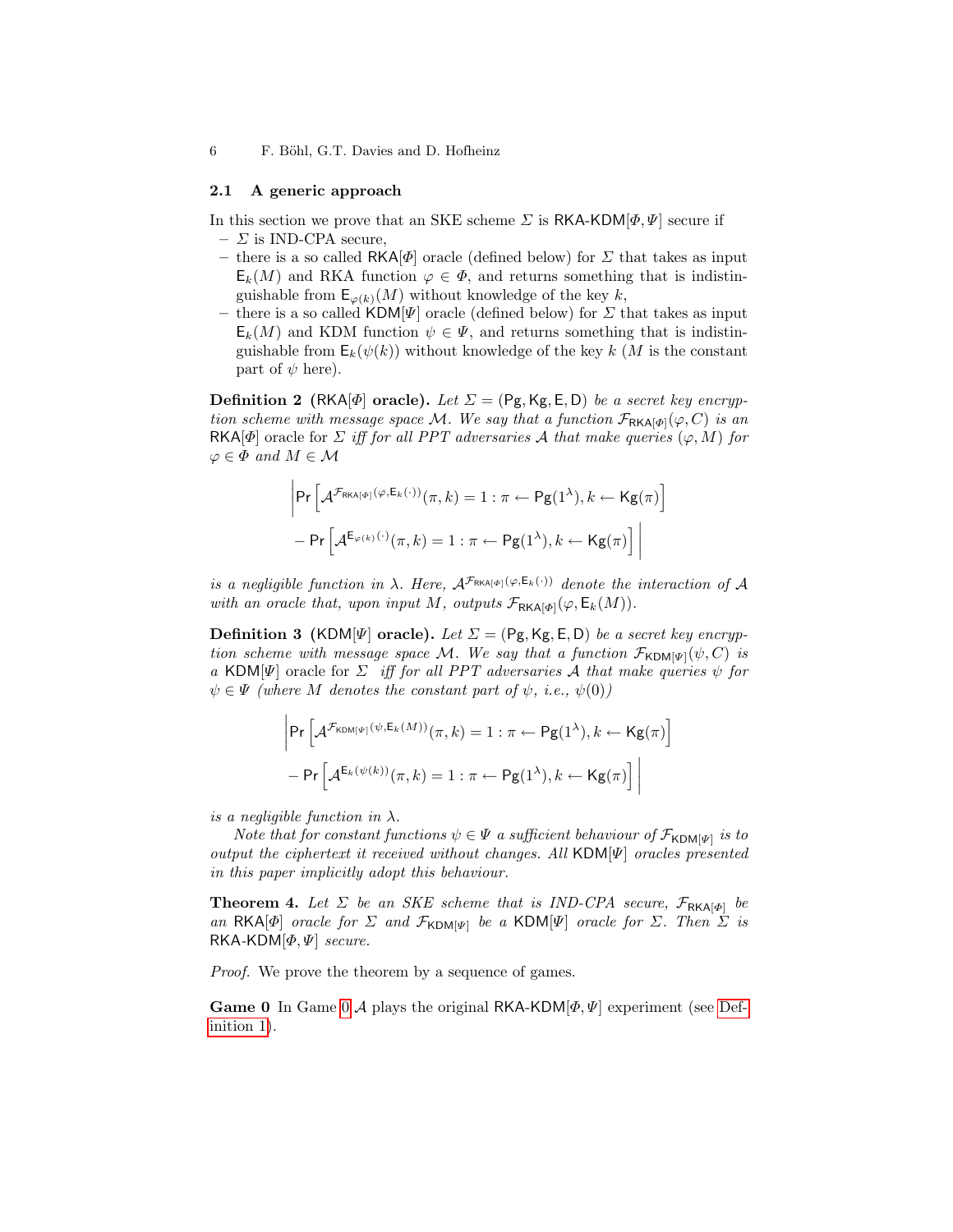#### 2.1 A generic approach

In this section we prove that an SKE scheme  $\Sigma$  is RKA-KDM $[\Phi, \Psi]$  secure if

- $\Sigma$  is IND-CPA secure,
- there is a so called RKA[ $\Phi$ ] oracle (defined below) for  $\Sigma$  that takes as input  $\mathsf{E}_k(M)$  and RKA function  $\varphi \in \Phi$ , and returns something that is indistinguishable from  $\mathsf{E}_{\varphi(k)}(M)$  without knowledge of the key k,
- there is a so called KDM[ $\Psi$ ] oracle (defined below) for  $\Sigma$  that takes as input  $\mathsf{E}_k(M)$  and KDM function  $\psi \in \Psi$ , and returns something that is indistinguishable from  $E_k(\psi(k))$  without knowledge of the key k (M is the constant part of  $\psi$  here).

<span id="page-5-2"></span>**Definition 2** (RKA $[\Phi]$  oracle). Let  $\Sigma = (Pg, Kg, E, D)$  be a secret key encryption scheme with message space M. We say that a function  $\mathcal{F}_{\mathsf{RKA}[\Phi]}(\varphi, C)$  is an RKA $[\Phi]$  oracle for  $\Sigma$  iff for all PPT adversaries A that make queries  $(\varphi, M)$  for  $\varphi \in \Phi$  and  $M \in \mathcal{M}$ 

$$
\left| \Pr \left[ \mathcal{A}^{\mathcal{F}_{\mathsf{RKA}[\Phi]}(\varphi, \mathsf{E}_k(\cdot))}(\pi, k) = 1 : \pi \leftarrow \mathsf{Pg}(1^{\lambda}), k \leftarrow \mathsf{Kg}(\pi) \right] \right. \\ \left. - \Pr \left[ \mathcal{A}^{\mathsf{E}_{\varphi(k)}(\cdot)}(\pi, k) = 1 : \pi \leftarrow \mathsf{Pg}(1^{\lambda}), k \leftarrow \mathsf{Kg}(\pi) \right] \right| \right.
$$

is a negligible function in  $\lambda$ . Here,  $\mathcal{A}^{\mathcal{F}_{\mathsf{RKA}[\Phi]}(\varphi,\mathsf{E}_k(\cdot))}$  denote the interaction of A with an oracle that, upon input M, outputs  $\mathcal{F}_{\mathsf{RKA}[\Phi]}(\varphi, \mathsf{E}_k(M)).$ 

<span id="page-5-3"></span>**Definition 3** (KDM $[\Psi]$  oracle). Let  $\Sigma = (Pg, Kg, E, D)$  be a secret key encryption scheme with message space M. We say that a function  $\mathcal{F}_{\text{KDM}[\Psi]}(\psi, C)$  is a KDM $[\Psi]$  oracle for  $\Sigma$  iff for all PPT adversaries A that make queries  $\psi$  for  $\psi \in \Psi$  (where M denotes the constant part of  $\psi$ , i.e.,  $\psi(0)$ )

$$
\left| \Pr \left[ \mathcal{A}^{\mathcal{F}_{\mathsf{KDM}[\Psi]}(\psi, \mathsf{E}_k(M))}(\pi, k) = 1 : \pi \leftarrow \Pr[\mathcal{A}^{\mathsf{E}_k(\psi(k))}(\pi, k) = 1 : \pi \leftarrow \Pr[\mathcal{A}^{\mathsf{E}_k(\psi(k))}(\pi, k) = 1 : \pi \leftarrow \Pr[\mathcal{A}^{\mathsf{E}_k(\psi(k))}(\pi, k) = 1 : \pi \leftarrow \Pr[\mathcal{A}^{\mathsf{E}_k(\psi(k))}(\pi, k) = 1 : \pi \leftarrow \Pr[\mathcal{A}^{\mathsf{E}_k(\psi(k))}(\pi, k) = 1 : \pi \leftarrow \Pr[\mathcal{A}^{\mathsf{E}_k(\psi(k))}(\pi, k) = 1 : \pi \leftarrow \Pr[\mathcal{A}^{\mathsf{E}_k(\psi(k))}(\pi, k) = 1 : \pi \leftarrow \Pr[\mathcal{A}^{\mathsf{E}_k(\psi(k))}(\pi, k) = 1 : \pi \leftarrow \Pr[\mathcal{A}^{\mathsf{E}_k(\psi(k))}(\pi, k) = 1 : \pi \leftarrow \Pr[\mathcal{A}^{\mathsf{E}_k(\psi(k))}(\pi, k) = 1 : \pi \leftarrow \Pr[\mathcal{A}^{\mathsf{E}_k(\psi(k))}(\pi, k) = 1 : \pi \leftarrow \Pr[\mathcal{A}^{\mathsf{E}_k(\psi(k))}(\pi, k) = 1 : \pi \leftarrow \Pr[\mathcal{A}^{\mathsf{E}_k(\psi(k))}(\pi, k) = 1 : \pi \leftarrow \Pr[\mathcal{A}^{\mathsf{E}_k(\psi(k))}(\pi, k)] = 1 : \pi \leftarrow \Pr[\mathcal{A}^{\mathsf{E}_k(\psi(k))}(\pi, k) = 1 : \pi \leftarrow \Pr[\mathcal{A}^{\mathsf{E}_k(\psi(k))}(\pi, k)] = 1 : \pi \leftarrow \Pr[\mathcal{A}^{\mathsf{E}_k(\psi(k))}(\pi, k)] = 1 : \pi \leftarrow \Pr[\mathcal{A}^{\mathsf{E}_k(\psi(k))}(\pi, k)] = 1 : \pi \leftarrow \Pr[\mathcal{A}^{\mathsf{E}_k(\psi(k))}(\pi, k)] = 1 : \pi \leftarrow \Pr[\mathcal{A}^{\mathsf{E}_k(\psi(k))}(\pi, k)] = 1 : \pi \leftarrow \Pr
$$

is a negligible function in  $\lambda$ .

Note that for constant functions  $\psi \in \Psi$  a sufficient behaviour of  $\mathcal{F}_{\mathsf{KDM}[\Psi]}$  is to output the ciphertext it received without changes. All  $KDM[\Psi]$  oracles presented in this paper implicitly adopt this behaviour.

<span id="page-5-4"></span>**Theorem 4.** Let  $\Sigma$  be an SKE scheme that is IND-CPA secure,  $\mathcal{F}_{\mathsf{RKA}[\Phi]}$  be an RKA[ $\Phi$ ] oracle for  $\Sigma$  and  $\mathcal{F}_{\text{KDM}[\Psi]}$  be a KDM[ $\Psi$ ] oracle for  $\Sigma$ . Then  $\Sigma$  is RKA-KDM $[\Phi, \Psi]$  secure.

<span id="page-5-0"></span>*Proof.* We prove the theorem by a sequence of games.

<span id="page-5-1"></span>**Game [0](#page-5-0)** In Game 0 A plays the original RKA-KDM $[\Phi, \Psi]$  experiment (see [Def](#page-4-0)[inition 1\)](#page-4-0).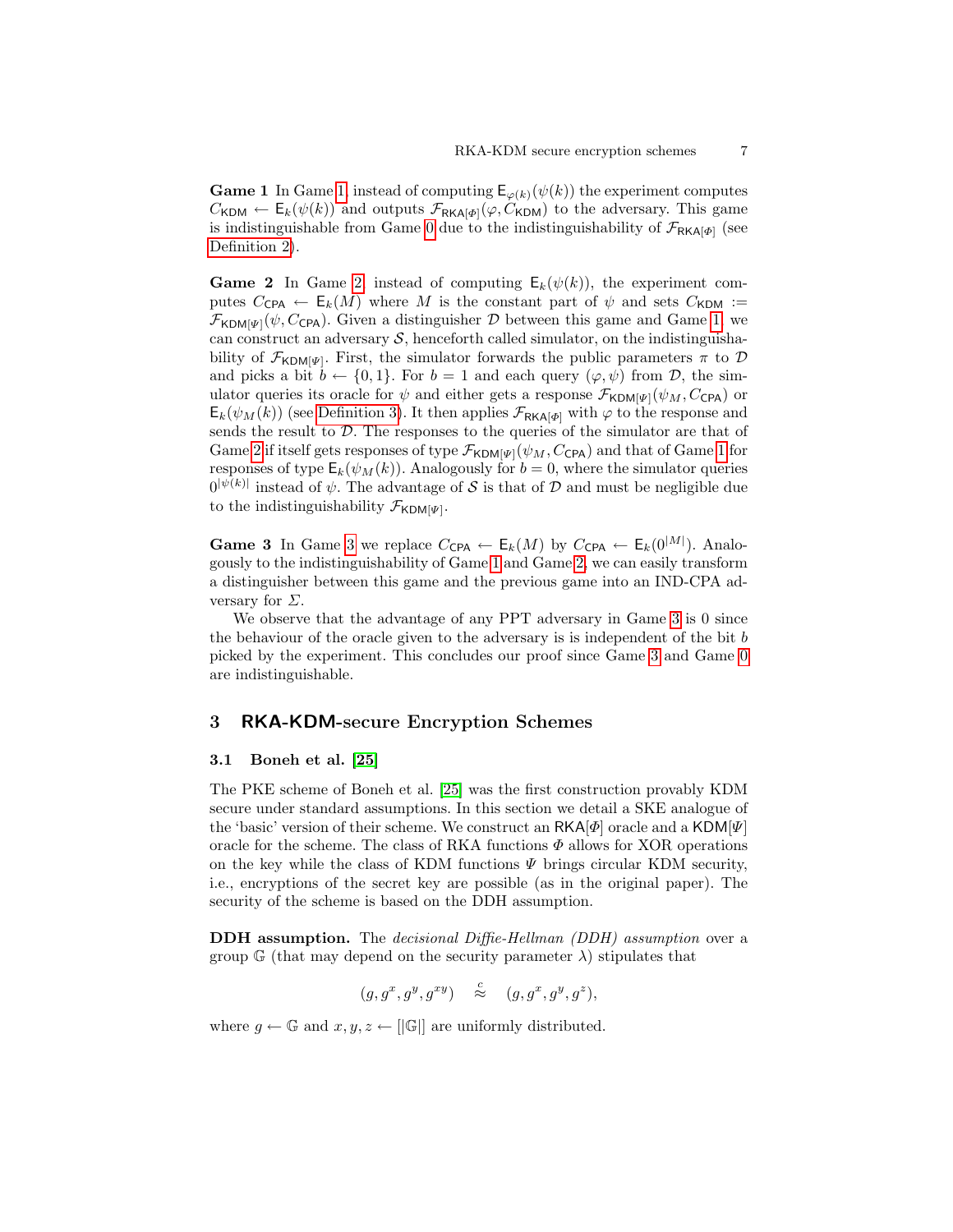**Game 1** In Game [1,](#page-5-1) instead of computing  $E_{\varphi(k)}(\psi(k))$  the experiment computes  $C_{\text{KDM}} \leftarrow \mathsf{E}_k(\psi(k))$  and outputs  $\mathcal{F}_{\text{RKA}[\Phi]}(\varphi, C_{\text{KDM}})$  to the adversary. This game is indistinguishable from Game [0](#page-5-0) due to the indistinguishability of  $\mathcal{F}_{\text{RKA}[\Phi]}$  (see [Definition 2\)](#page-5-2).

<span id="page-6-0"></span>**Game 2** In Game [2,](#page-6-0) instead of computing  $E_k(\psi(k))$ , the experiment computes  $C_{\text{CPA}} \leftarrow \mathsf{E}_k(M)$  where M is the constant part of  $\psi$  and sets  $C_{\text{KDM}} :=$  $\mathcal{F}_{\text{KDM}[\psi]}(\psi, C_{\text{CPA}})$ . Given a distinguisher D between this game and Game [1,](#page-5-1) we can construct an adversary  $S$ , henceforth called simulator, on the indistinguishability of  $\mathcal{F}_{KDM[\Psi]}$ . First, the simulator forwards the public parameters  $\pi$  to  $\mathcal D$ and picks a bit  $b \leftarrow \{0, 1\}$ . For  $b = 1$  and each query  $(\varphi, \psi)$  from  $\mathcal{D}$ , the simulator queries its oracle for  $\psi$  and either gets a response  $\mathcal{F}_{\text{KDM}[\Psi]}(\psi_M, C_{\text{CPA}})$  or  $\mathsf{E}_k(\psi_M(k))$  (see [Definition 3\)](#page-5-3). It then applies  $\mathcal{F}_{\mathsf{RKA}[\Phi]}$  with  $\varphi$  to the response and sends the result to  $D$ . The responses to the queries of the simulator are that of Game [2](#page-6-0) if itself gets responses of type  $\mathcal{F}_{\mathsf{KDM}[\Psi]}(\psi_M, C_{\mathsf{CPA}})$  and that of Game [1](#page-5-1) for responses of type  $\mathsf{E}_k(\psi_M(k))$ . Analogously for  $b = 0$ , where the simulator queries  $0^{|\psi(k)|}$  instead of  $\psi$ . The advantage of S is that of D and must be negligible due to the indistinguishability  $\mathcal{F}_{\mathsf{KDM}[\Psi]}.$ 

<span id="page-6-1"></span>**Game [3](#page-6-1)** In Game 3 we replace  $C_{\text{CPA}} \leftarrow \mathsf{E}_k(M)$  by  $C_{\text{CPA}} \leftarrow \mathsf{E}_k(0^{|M|})$ . Analogously to the indistinguishability of Game [1](#page-5-1) and Game [2,](#page-6-0) we can easily transform a distinguisher between this game and the previous game into an IND-CPA adversary for  $\Sigma$ .

We observe that the advantage of any PPT adversary in Game [3](#page-6-1) is 0 since the behaviour of the oracle given to the adversary is is independent of the bit  $b$ picked by the experiment. This concludes our proof since Game [3](#page-6-1) and Game [0](#page-5-0) are indistinguishable.

## 3 RKA-KDM-secure Encryption Schemes

## <span id="page-6-2"></span>3.1 Boneh et al. [\[25\]](#page-17-0)

The PKE scheme of Boneh et al. [\[25\]](#page-17-0) was the first construction provably KDM secure under standard assumptions. In this section we detail a SKE analogue of the 'basic' version of their scheme. We construct an  $\mathsf{RKA}[\Phi]$  oracle and a  $\mathsf{KDM}[\Psi]$ oracle for the scheme. The class of RKA functions  $\Phi$  allows for XOR operations on the key while the class of KDM functions  $\Psi$  brings circular KDM security, i.e., encryptions of the secret key are possible (as in the original paper). The security of the scheme is based on the DDH assumption.

**DDH** assumption. The *decisional Diffie-Hellman (DDH)* assumption over a group G (that may depend on the security parameter  $\lambda$ ) stipulates that

$$
(g, g^x, g^y, g^{xy}) \quad \stackrel{c}{\approx} \quad (g, g^x, g^y, g^z),
$$

where  $g \leftarrow \mathbb{G}$  and  $x, y, z \leftarrow [[\mathbb{G}]]$  are uniformly distributed.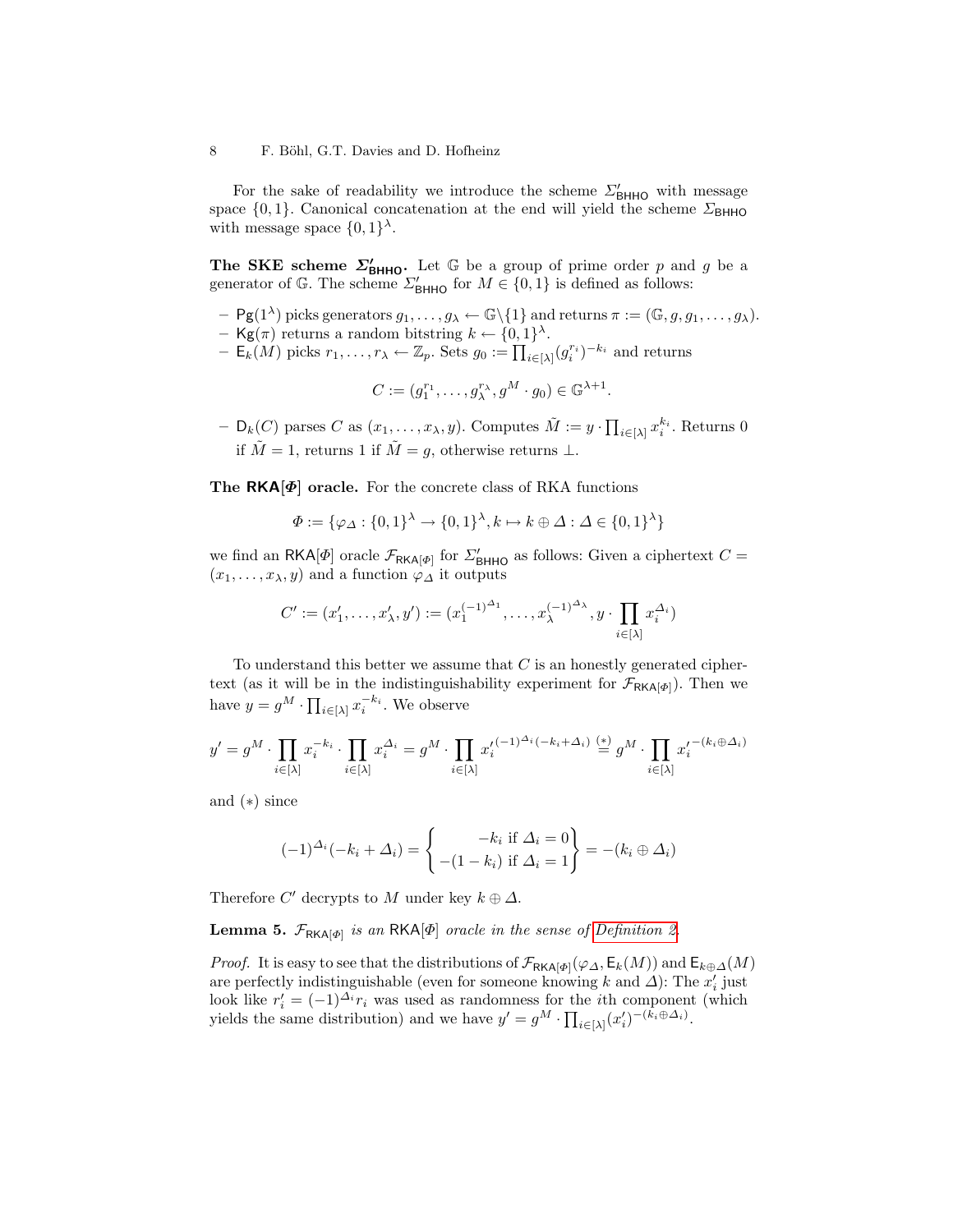#### 8 F. Böhl, G.T. Davies and D. Hofheinz

For the sake of readability we introduce the scheme  $\Sigma'_{\text{BHHO}}$  with message space  $\{0, 1\}$ . Canonical concatenation at the end will yield the scheme  $\Sigma_{\text{BHHO}}$ with message space  $\{0,1\}^{\lambda}$ .

The SKE scheme  $\Sigma'_{\text{BHHO}}$ . Let G be a group of prime order p and g be a generator of G. The scheme  $\Sigma'_{\text{BHHO}}$  for  $M \in \{0,1\}$  is defined as follows:

- $-$  Pg(1<sup> $\lambda$ </sup>) picks generators  $g_1, \ldots, g_\lambda \leftarrow \mathbb{G}\setminus\{1\}$  and returns  $\pi := (\mathbb{G}, g, g_1, \ldots, g_\lambda)$ .
- Kg( $\pi$ ) returns a random bitstring  $k \leftarrow \{0, 1\}^{\lambda}$ .
- $\mathsf{E}_k(M)$  picks  $r_1, \ldots, r_\lambda \leftarrow \mathbb{Z}_p$ . Sets  $g_0 := \prod_{i \in [\lambda]} (g_i^{r_i})^{-k_i}$  and returns

$$
C := (g_1^{r_1}, \dots, g_{\lambda}^{r_{\lambda}}, g^M \cdot g_0) \in \mathbb{G}^{\lambda+1}.
$$

-  $D_k(C)$  parses C as  $(x_1, \ldots, x_\lambda, y)$ . Computes  $\tilde{M} := y \cdot \prod_{i \in [\lambda]} x_i^{k_i}$ . Returns 0 if  $\tilde{M} = 1$ , returns 1 if  $\tilde{M} = g$ , otherwise returns ⊥.

The  $\mathsf{RKA}[\Phi]$  oracle. For the concrete class of RKA functions

$$
\Phi:=\{\varphi_\Delta:\{0,1\}^\lambda\to\{0,1\}^\lambda, k\mapsto k\oplus\Delta:\Delta\in\{0,1\}^\lambda\}
$$

we find an RKA[ $\Phi$ ] oracle  $\mathcal{F}_{\mathsf{RKA}[\Phi]}$  for  $\Sigma'_{\mathsf{BHHO}}$  as follows: Given a ciphertext  $C =$  $(x_1, \ldots, x_\lambda, y)$  and a function  $\varphi_{\Delta}$  it outputs

$$
C' := (x'_1, \dots, x'_\lambda, y') := (x_1^{(-1)^{\Delta_1}}, \dots, x_\lambda^{(-1)^{\Delta_\lambda}}, y \cdot \prod_{i \in [\lambda]} x_i^{\Delta_i})
$$

To understand this better we assume that  $C$  is an honestly generated ciphertext (as it will be in the indistinguishability experiment for  $\mathcal{F}_{\mathsf{RKA}[\Phi]}$ ). Then we have  $y = g^M \cdot \prod_{i \in [\lambda]} x_i^{-k_i}$ . We observe

$$
y' = g^M \cdot \prod_{i \in [\lambda]} x_i^{-k_i} \cdot \prod_{i \in [\lambda]} x_i^{\Delta_i} = g^M \cdot \prod_{i \in [\lambda]} x_i'^{(-1)^{\Delta_i}(-k_i + \Delta_i)} \stackrel{(*)}{=} g^M \cdot \prod_{i \in [\lambda]} x_i'^{-(k_i \oplus \Delta_i)}
$$

and (∗) since

$$
(-1)^{\Delta_i}(-k_i + \Delta_i) = \begin{cases} -k_i & \text{if } \Delta_i = 0\\ -(1 - k_i) & \text{if } \Delta_i = 1 \end{cases} = -(k_i \oplus \Delta_i)
$$

<span id="page-7-0"></span>Therefore  $C'$  decrypts to M under key  $k \oplus \Delta$ .

**Lemma 5.**  $\mathcal{F}_{\mathsf{RKA}[\Phi]}$  is an  $\mathsf{RKA}[\Phi]$  oracle in the sense of [Definition 2.](#page-5-2)

*Proof.* It is easy to see that the distributions of  $\mathcal{F}_{\mathsf{RKA}[\Phi]}(\varphi_\Delta, \mathsf{E}_k(M))$  and  $\mathsf{E}_{k\oplus \Delta}(M)$ are perfectly indistinguishable (even for someone knowing k and  $\Delta$ ): The  $x_i'$  just look like  $r_i' = (-1)^{\Delta_i} r_i$  was used as randomness for the *i*th component (which yields the same distribution) and we have  $y' = g^M \cdot \prod_{i \in [\lambda]} (x'_i)^{-(k_i \oplus \Delta_i)}$ .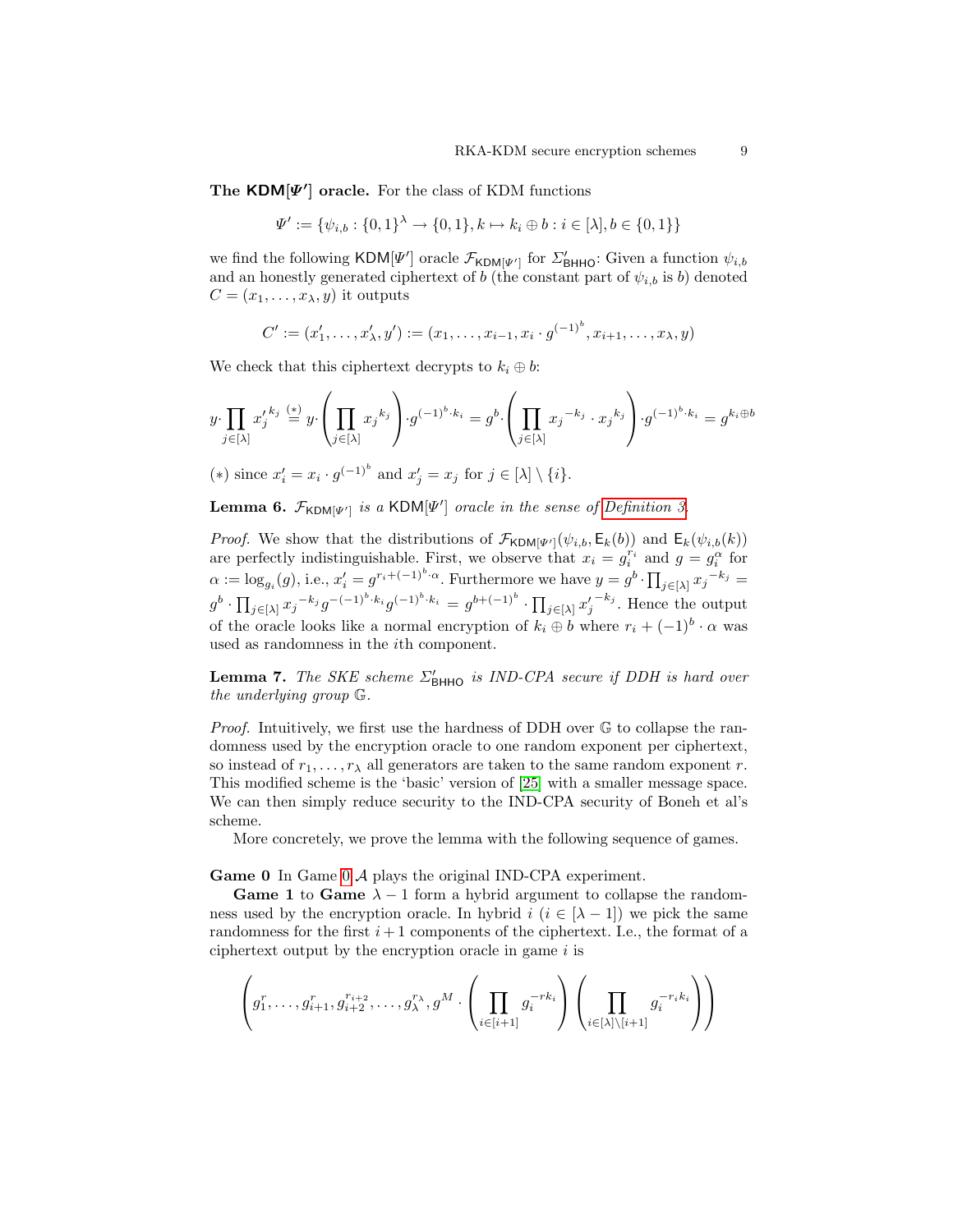The  $KDM[\Psi']$  oracle. For the class of KDM functions

$$
\Psi' := \{ \psi_{i,b} : \{0,1\}^\lambda \to \{0,1\}, k \mapsto k_i \oplus b : i \in [\lambda], b \in \{0,1\} \}
$$

we find the following KDM[ $\Psi'$ ] oracle  $\mathcal{F}_{\mathsf{KDM}[\Psi']}$  for  $\Sigma'_{\mathsf{BHHO}}$ : Given a function  $\psi_{i,b}$ and an honestly generated ciphertext of b (the constant part of  $\psi_{i,b}$  is b) denoted  $C = (x_1, \ldots, x_\lambda, y)$  it outputs

$$
C' := (x'_1, \dots, x'_\lambda, y') := (x_1, \dots, x_{i-1}, x_i \cdot g^{(-1)^b}, x_{i+1}, \dots, x_\lambda, y)
$$

We check that this ciphertext decrypts to  $k_i \oplus b$ :

$$
y \cdot \prod_{j \in [\lambda]} x'_j^{k_j} \stackrel{(*)}{=} y \cdot \left( \prod_{j \in [\lambda]} x_j^{k_j} \right) \cdot g^{(-1)^b \cdot k_i} = g^b \cdot \left( \prod_{j \in [\lambda]} x_j^{-k_j} \cdot x_j^{k_j} \right) \cdot g^{(-1)^b \cdot k_i} = g^{k_i \oplus b}
$$

(\*) since  $x'_i = x_i \cdot g^{(-1)^b}$  and  $x'_j = x_j$  for  $j \in [\lambda] \setminus \{i\}.$ 

**Lemma 6.**  $\mathcal{F}_{\text{KDM}[\Psi']}$  is a KDM $[\Psi']$  oracle in the sense of [Definition 3.](#page-5-3)

*Proof.* We show that the distributions of  $\mathcal{F}_{\mathsf{KDM}[\Psi']}(\psi_{i,b}, \mathsf{E}_k(b))$  and  $\mathsf{E}_k(\psi_{i,b}(k))$ are perfectly indistinguishable. First, we observe that  $x_i = g_i^{r_i}$  and  $g = g_i^{\alpha}$  for  $\alpha := \log_{g_i}(g)$ , i.e.,  $x'_i = g^{r_i + (-1)^b \cdot \alpha}$ . Furthermore we have  $y = g^b \cdot \prod_{j \in [\lambda]} x_j^{-k_j} =$  $g^b \cdot \prod_{j\in[\lambda]} x_j^{-k_j} g^{ -(-1)^b \cdot k_i} g^{(-1)^b \cdot k_i} = g^{b+(-1)^b} \cdot \prod_{j\in[\lambda]} x'_j^{-k_j}$ . Hence the output of the oracle looks like a normal encryption of  $k_i \oplus b$  where  $r_i + (-1)^b \cdot \alpha$  was used as randomness in the ith component.

<span id="page-8-0"></span>**Lemma 7.** The SKE scheme  $\Sigma'_{\text{BHD}}$  is IND-CPA secure if DDH is hard over the underlying group G.

Proof. Intuitively, we first use the hardness of DDH over  $\mathbb G$  to collapse the randomness used by the encryption oracle to one random exponent per ciphertext, so instead of  $r_1, \ldots, r_\lambda$  all generators are taken to the same random exponent r. This modified scheme is the 'basic' version of [\[25\]](#page-17-0) with a smaller message space. We can then simply reduce security to the IND-CPA security of Boneh et al's scheme.

More concretely, we prove the lemma with the following sequence of games.

<span id="page-8-1"></span>Game [0](#page-8-1) In Game 0 A plays the original IND-CPA experiment.

**Game 1** to **Game**  $\lambda - 1$  form a hybrid argument to collapse the randomness used by the encryption oracle. In hybrid  $i$  ( $i \in [\lambda - 1]$ ) we pick the same randomness for the first  $i+1$  components of the ciphertext. I.e., the format of a ciphertext output by the encryption oracle in game  $i$  is

$$
\left(g_1^r,\ldots,g_{i+1}^r,g_{i+2}^{r_{i+2}},\ldots,g_{\lambda}^{r_{\lambda}},g^M\cdot\left(\prod_{i\in[i+1]}g_i^{-rk_i}\right)\left(\prod_{i\in[\lambda]\setminus[i+1]}g_i^{-r_ik_i}\right)\right)
$$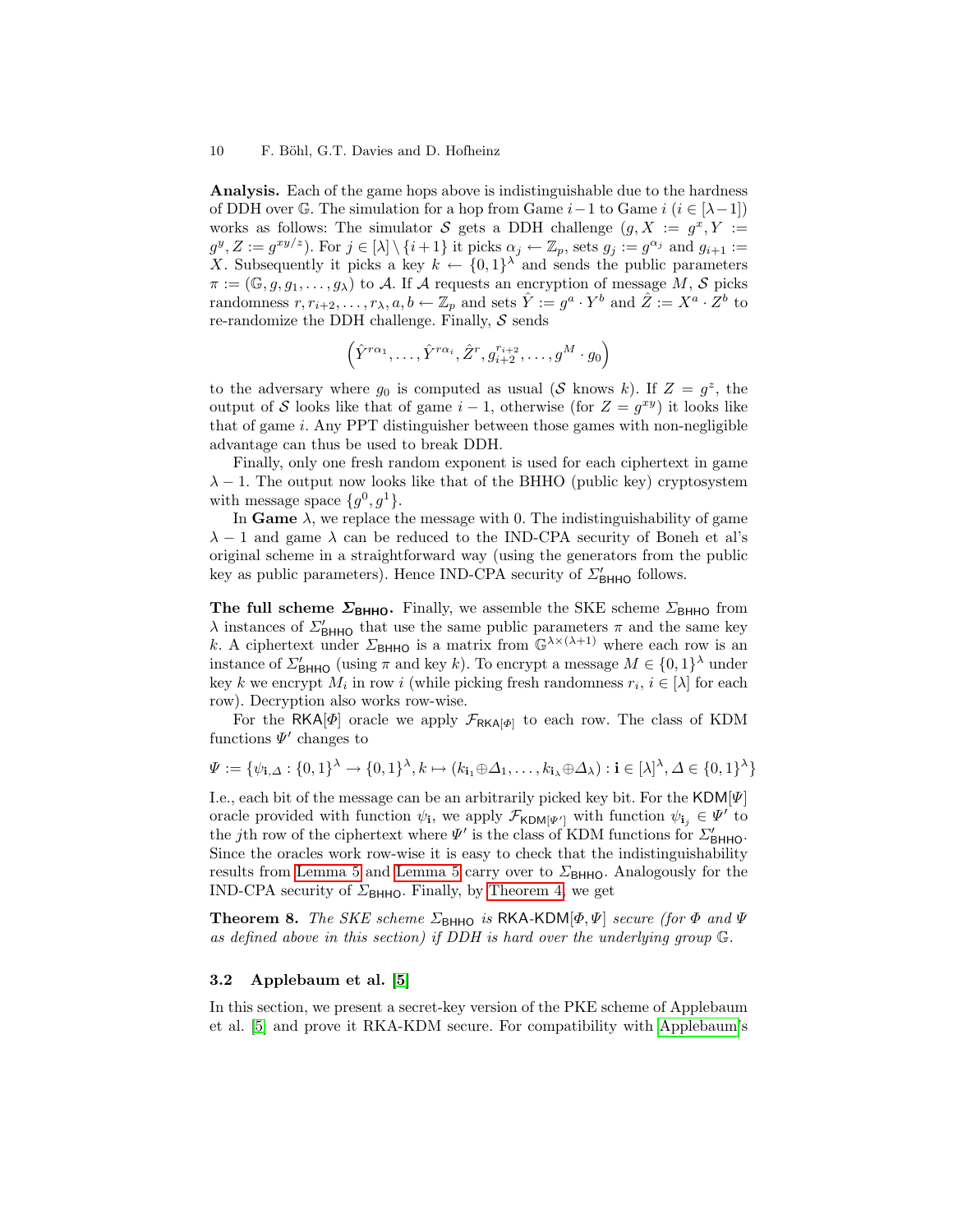#### 10 F. Böhl, G.T. Davies and D. Hofheinz

Analysis. Each of the game hops above is indistinguishable due to the hardness of DDH over G. The simulation for a hop from Game  $i-1$  to Game  $i$   $(i \in [\lambda-1])$ works as follows: The simulator S gets a DDH challenge  $(g, X := g^x, Y :=$  $g^y, Z := g^{xy/z}$ ). For  $j \in [\lambda] \setminus \{i+1\}$  it picks  $\alpha_j \leftarrow \mathbb{Z}_p$ , sets  $g_j := g^{\alpha_j}$  and  $g_{i+1} :=$ X. Subsequently it picks a key  $k \leftarrow \{0,1\}^{\lambda}$  and sends the public parameters  $\pi := (\mathbb{G}, q, q_1, \ldots, q_\lambda)$  to A. If A requests an encryption of message M, S picks randomness  $r, r_{i+2}, \ldots, r_{\lambda}, a, b \leftarrow \mathbb{Z}_p$  and sets  $\hat{Y} := g^a \cdot Y^b$  and  $\hat{Z} := X^a \cdot Z^b$  to re-randomize the DDH challenge. Finally,  $S$  sends

$$
\left(\hat{Y}^{r\alpha_1},\ldots,\hat{Y}^{r\alpha_i},\hat{Z}^r,g_{i+2}^{r_{i+2}},\ldots,g^M\cdot g_0\right)
$$

to the adversary where  $g_0$  is computed as usual (S knows k). If  $Z = g^z$ , the output of S looks like that of game  $i-1$ , otherwise (for  $Z = g^{xy}$ ) it looks like that of game i. Any PPT distinguisher between those games with non-negligible advantage can thus be used to break DDH.

Finally, only one fresh random exponent is used for each ciphertext in game  $\lambda - 1$ . The output now looks like that of the BHHO (public key) cryptosystem with message space  $\{g^0, g^1\}.$ 

In Game  $\lambda$ , we replace the message with 0. The indistinguishability of game  $\lambda - 1$  and game  $\lambda$  can be reduced to the IND-CPA security of Boneh et al's original scheme in a straightforward way (using the generators from the public key as public parameters). Hence IND-CPA security of  $\mathcal{L}'_{\mathsf{BHHO}}$  follows.

The full scheme  $\Sigma_{\text{BHHO}}$ . Finally, we assemble the SKE scheme  $\Sigma_{\text{BHHO}}$  from  $\lambda$  instances of  $\Sigma'_{\text{BHHO}}$  that use the same public parameters  $\pi$  and the same key k. A ciphertext under  $\Sigma_{\rm BHHO}$  is a matrix from  $\mathbb{G}^{\lambda \times (\lambda+1)}$  where each row is an instance of  $\Sigma'_{\mathsf{BHD}}$  (using  $\pi$  and key k). To encrypt a message  $M \in \{0,1\}^{\lambda}$  under key k we encrypt  $M_i$  in row i (while picking fresh randomness  $r_i, i \in [\lambda]$  for each row). Decryption also works row-wise.

For the RKA $[\Phi]$  oracle we apply  $\mathcal{F}_{RKA[\Phi]}$  to each row. The class of KDM functions  $\Psi'$  changes to

$$
\Psi := \{ \psi_{\mathbf{i}, \Delta} : \{0, 1\}^{\lambda} \to \{0, 1\}^{\lambda}, k \mapsto (k_{\mathbf{i}_1} \oplus \Delta_1, \dots, k_{\mathbf{i}_\lambda} \oplus \Delta_\lambda) : \mathbf{i} \in [\lambda]^{\lambda}, \Delta \in \{0, 1\}^{\lambda} \}
$$

I.e., each bit of the message can be an arbitrarily picked key bit. For the  $KDM[\Psi]$ oracle provided with function  $\psi_i$ , we apply  $\mathcal{F}_{KDM[\Psi']}$  with function  $\psi_{i_j} \in \Psi'$  to the jth row of the ciphertext where  $\Psi'$  is the class of KDM functions for  $\Sigma'_{\text{BHHO}}$ . Since the oracles work row-wise it is easy to check that the indistinguishability results from [Lemma 5](#page-7-0) and Lemma 5 carry over to  $\Sigma_{\rm BHHO}$ . Analogously for the IND-CPA security of  $\Sigma_{\rm BHHO}$ . Finally, by [Theorem 4,](#page-5-4) we get

**Theorem 8.** The SKE scheme  $\Sigma_{\text{BHHO}}$  is RKA-KDM $[\Phi, \Psi]$  secure (for  $\Phi$  and  $\Psi$ as defined above in this section) if DDH is hard over the underlying group G.

## 3.2 Applebaum et al. [\[5\]](#page-16-4)

In this section, we present a secret-key version of the PKE scheme of Applebaum et al. [\[5\]](#page-16-4) and prove it RKA-KDM secure. For compatibility with [Applebaum'](#page-16-3)s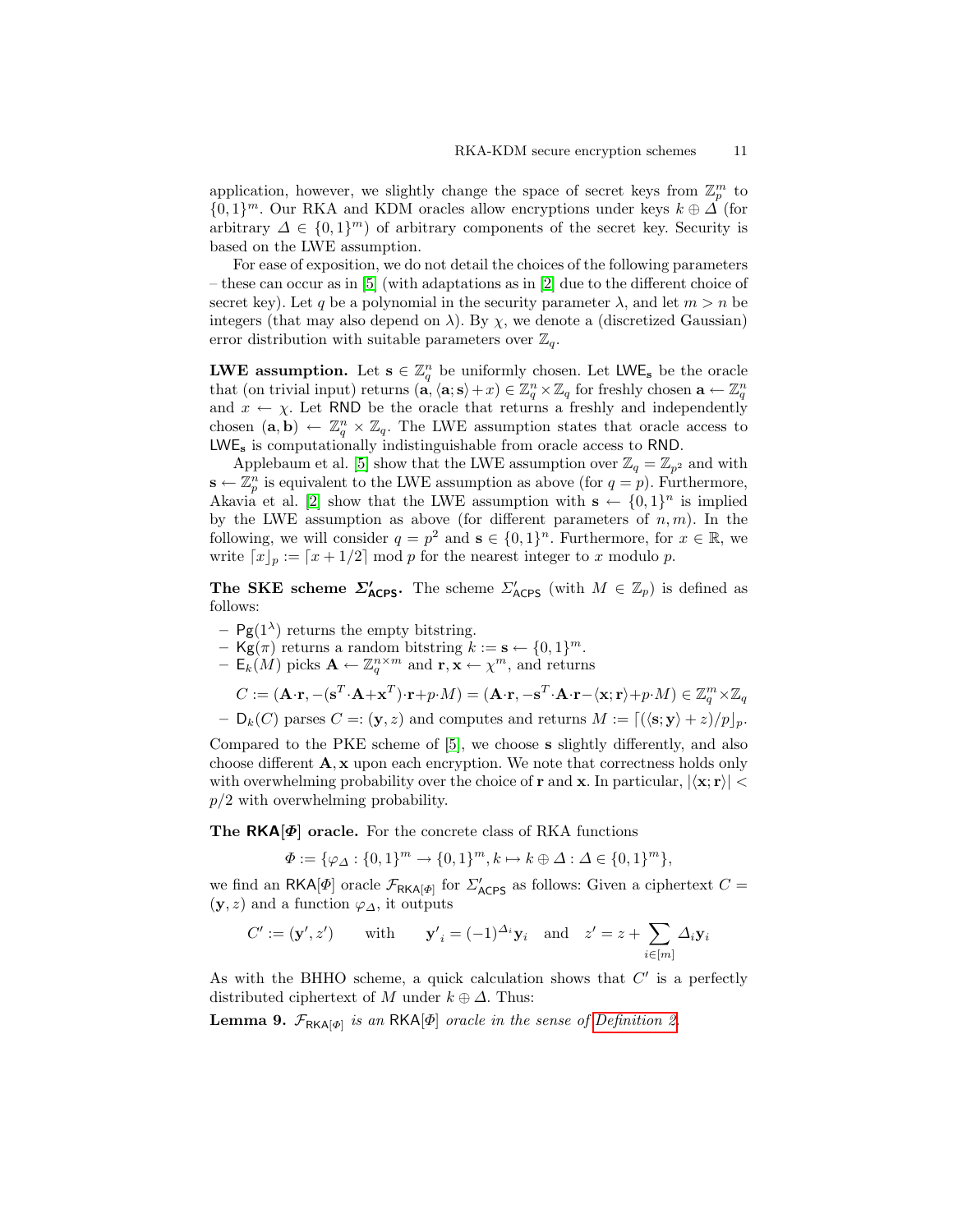application, however, we slightly change the space of secret keys from  $\mathbb{Z}_p^m$  to  ${0,1}^m$ . Our RKA and KDM oracles allow encryptions under keys  $k \oplus \Delta$  (for arbitrary  $\Delta \in \{0,1\}^m$  of arbitrary components of the secret key. Security is based on the LWE assumption.

For ease of exposition, we do not detail the choices of the following parameters – these can occur as in [\[5\]](#page-16-4) (with adaptations as in [\[2\]](#page-16-16) due to the different choice of secret key). Let q be a polynomial in the security parameter  $\lambda$ , and let  $m > n$  be integers (that may also depend on  $\lambda$ ). By  $\chi$ , we denote a (discretized Gaussian) error distribution with suitable parameters over  $\mathbb{Z}_q$ .

**LWE** assumption. Let  $s \in \mathbb{Z}_q^n$  be uniformly chosen. Let LWE<sub>s</sub> be the oracle that (on trivial input) returns  $(\mathbf{a}, \langle \mathbf{a}; \mathbf{s} \rangle + x) \in \mathbb{Z}_q^n \times \mathbb{Z}_q$  for freshly chosen  $\mathbf{a} \leftarrow \mathbb{Z}_q^n$ and  $x \leftarrow \chi$ . Let RND be the oracle that returns a freshly and independently chosen  $(a, b) \leftarrow \mathbb{Z}_q^n \times \mathbb{Z}_q$ . The LWE assumption states that oracle access to LWE<sup>s</sup> is computationally indistinguishable from oracle access to RND.

Applebaum et al. [\[5\]](#page-16-4) show that the LWE assumption over  $\mathbb{Z}_q = \mathbb{Z}_{p^2}$  and with  $\mathbf{s} \leftarrow \mathbb{Z}_p^n$  is equivalent to the LWE assumption as above (for  $q = p$ ). Furthermore, Akavia et al. [\[2\]](#page-16-16) show that the LWE assumption with  $s \leftarrow \{0,1\}^n$  is implied by the LWE assumption as above (for different parameters of  $n, m$ ). In the following, we will consider  $q = p^2$  and  $\mathbf{s} \in \{0,1\}^n$ . Furthermore, for  $x \in \mathbb{R}$ , we write  $\lceil x \rceil_p := \lceil x + 1/2 \rceil \mod p$  for the nearest integer to x modulo p.

The SKE scheme  $\Sigma'_{ACPS}$ . The scheme  $\Sigma'_{ACPS}$  (with  $M \in \mathbb{Z}_p$ ) is defined as follows:

- $-$  Pg(1<sup> $\lambda$ </sup>) returns the empty bitstring.
- $-$  Kg( $\pi$ ) returns a random bitstring  $k := \mathbf{s} \leftarrow \{0, 1\}^m$ .
- $\mathsf{E}_{k}(M)$  picks  $\mathbf{A} \leftarrow \mathbb{Z}_{q}^{n \times m}$  and  $\mathbf{r}, \mathbf{x} \leftarrow \chi^{m}$ , and returns

$$
C := (\mathbf{A} \cdot \mathbf{r}, -(\mathbf{s}^T \cdot \mathbf{A} + \mathbf{x}^T) \cdot \mathbf{r} + p \cdot M) = (\mathbf{A} \cdot \mathbf{r}, -\mathbf{s}^T \cdot \mathbf{A} \cdot \mathbf{r} - \langle \mathbf{x}; \mathbf{r} \rangle + p \cdot M) \in \mathbb{Z}_q^m \times \mathbb{Z}_q
$$

 $- D_k(C)$  parses  $C =: (\mathbf{y}, z)$  and computes and returns  $M := [(\langle \mathbf{s}; \mathbf{y} \rangle + z)/p]_p$ .

Compared to the PKE scheme of [\[5\]](#page-16-4), we choose s slightly differently, and also choose different A, x upon each encryption. We note that correctness holds only with overwhelming probability over the choice of r and x. In particular,  $|\langle \mathbf{x}; \mathbf{r} \rangle|$  <  $p/2$  with overwhelming probability.

The  $\mathsf{RKA}[\Phi]$  oracle. For the concrete class of RKA functions

<span id="page-10-0"></span>
$$
\Phi := \{ \varphi_{\Delta} : \{0,1\}^m \to \{0,1\}^m, k \mapsto k \oplus \Delta : \Delta \in \{0,1\}^m \},
$$

we find an RKA[ $\Phi$ ] oracle  $\mathcal{F}_{\mathsf{RKA}[\Phi]}$  for  $\Sigma'_{\mathsf{ACPS}}$  as follows: Given a ciphertext  $C =$  $(y, z)$  and a function  $\varphi_{\Delta}$ , it outputs

$$
C' := (\mathbf{y}', z') \qquad \text{with} \qquad \mathbf{y}'_i = (-1)^{\Delta_i} \mathbf{y}_i \quad \text{and} \quad z' = z + \sum_{i \in [m]} \Delta_i \mathbf{y}_i
$$

As with the BHHO scheme, a quick calculation shows that  $C'$  is a perfectly distributed ciphertext of M under  $k \oplus \Delta$ . Thus:

**Lemma 9.**  $\mathcal{F}_{\mathsf{RKA}[\Phi]}$  is an  $\mathsf{RKA}[\Phi]$  oracle in the sense of [Definition 2.](#page-5-2)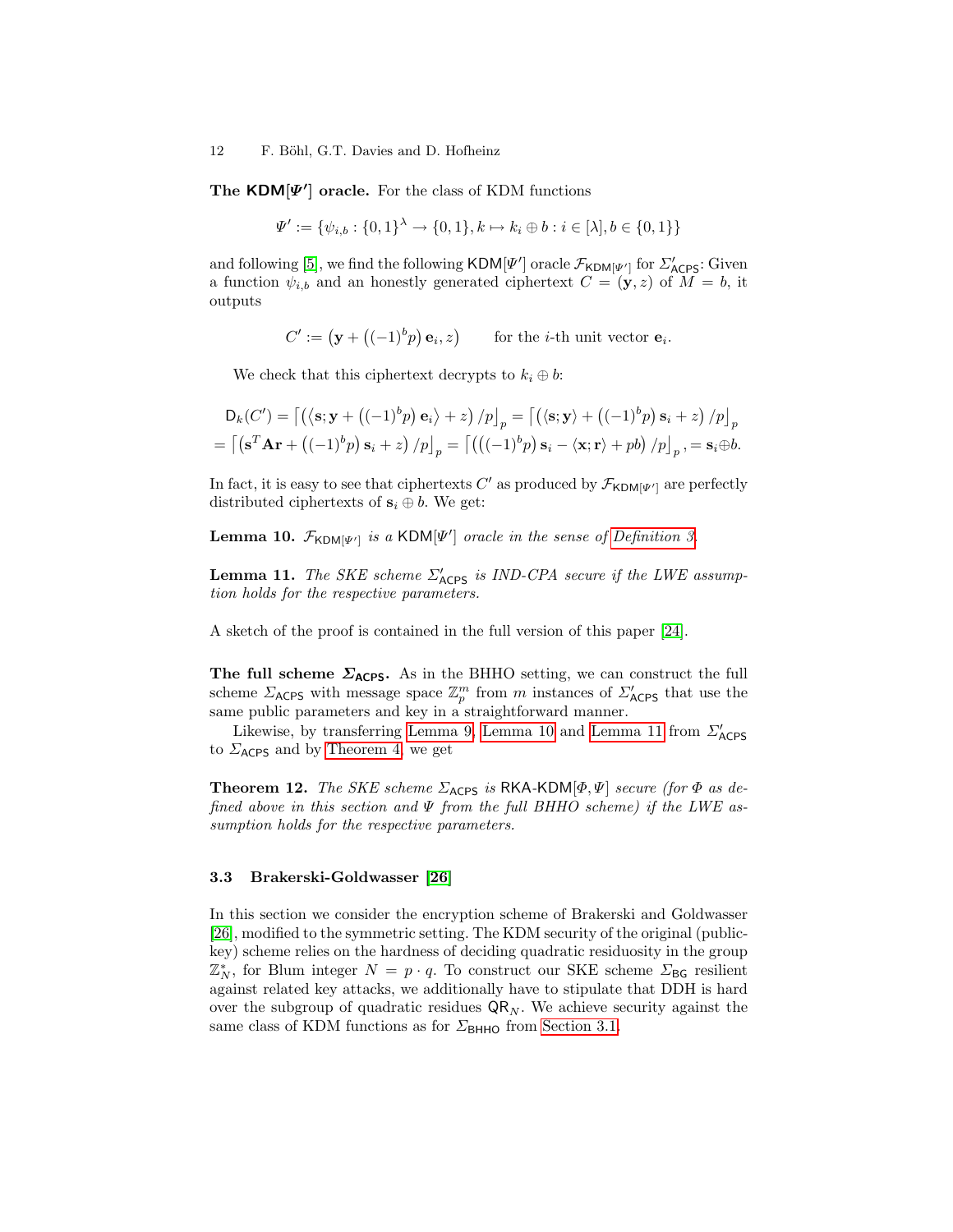12 F. Böhl, G.T. Davies and D. Hofheinz

The  $KDM[\Psi']$  oracle. For the class of KDM functions

$$
\Psi' := \{ \psi_{i,b} : \{0,1\}^\lambda \to \{0,1\}, k \mapsto k_i \oplus b : i \in [\lambda], b \in \{0,1\} \}
$$

and following [\[5\]](#page-16-4), we find the following  $\mathsf{KDM}[\Psi']$  oracle  $\mathcal{F}_{\mathsf{KDM}[\Psi']}$  for  $\mathcal{L}'_{\mathsf{ACPS}}$ : Given a function  $\psi_{i,b}$  and an honestly generated ciphertext  $C = (\mathbf{y}, z)$  of  $M = b$ , it outputs

<span id="page-11-0"></span> $C' := (\mathbf{y} + ((-1)^b p) \mathbf{e}_i, z)$  for the *i*-th unit vector  $\mathbf{e}_i$ .

We check that this ciphertext decrypts to  $k_i \oplus b$ :

$$
D_k(C') = \left[ \left( \langle \mathbf{s}; \mathbf{y} + \left( (-1)^b p \right) \mathbf{e}_i \rangle + z \right) / p \right]_p = \left[ \left( \langle \mathbf{s}; \mathbf{y} \rangle + \left( (-1)^b p \right) \mathbf{s}_i + z \right) / p \right]_p
$$

$$
= \left[ \left( \mathbf{s}^T \mathbf{A} \mathbf{r} + \left( (-1)^b p \right) \mathbf{s}_i + z \right) / p \right]_p = \left[ \left( \left( (-1)^b p \right) \mathbf{s}_i - \langle \mathbf{x}; \mathbf{r} \rangle + pb \right) / p \right]_p, = \mathbf{s}_i \oplus b.
$$

In fact, it is easy to see that ciphertexts C' as produced by  $\mathcal{F}_{\mathsf{KDM}[\Psi']}$  are perfectly distributed ciphertexts of  $s_i \oplus b$ . We get:

**Lemma 10.**  $\mathcal{F}_{\text{KDM}[\Psi']}$  is a KDM $[\Psi']$  oracle in the sense of [Definition 3.](#page-5-3)

<span id="page-11-1"></span>**Lemma 11.** The SKE scheme  $\Sigma'_{\text{ACPS}}$  is IND-CPA secure if the LWE assumption holds for the respective parameters.

A sketch of the proof is contained in the full version of this paper [\[24\]](#page-17-16).

The full scheme  $\Sigma_{ACPS}$ . As in the BHHO setting, we can construct the full scheme  $\Sigma_{\text{ACPS}}$  with message space  $\mathbb{Z}_p^m$  from m instances of  $\Sigma'_{\text{ACPS}}$  that use the same public parameters and key in a straightforward manner.

Likewise, by transferring [Lemma 9,](#page-10-0) [Lemma 10](#page-11-0) and [Lemma 11](#page-11-1) from  $\Sigma'_{\sf ACPS}$ to  $\Sigma_{\text{ACPS}}$  and by [Theorem 4,](#page-5-4) we get

**Theorem 12.** The SKE scheme  $\Sigma_{\text{ACPS}}$  is RKA-KDM $[\Phi, \Psi]$  secure (for  $\Phi$  as defined above in this section and  $\Psi$  from the full BHHO scheme) if the LWE assumption holds for the respective parameters.

#### 3.3 Brakerski-Goldwasser [\[26\]](#page-17-8)

In this section we consider the encryption scheme of Brakerski and Goldwasser [\[26\]](#page-17-8), modified to the symmetric setting. The KDM security of the original (publickey) scheme relies on the hardness of deciding quadratic residuosity in the group  $\mathbb{Z}_N^*$ , for Blum integer  $N = p \cdot q$ . To construct our SKE scheme  $\Sigma_{\text{BG}}$  resilient against related key attacks, we additionally have to stipulate that DDH is hard over the subgroup of quadratic residues  $QR_N$ . We achieve security against the same class of KDM functions as for  $\Sigma_{\rm BHHO}$  from [Section 3.1.](#page-6-2)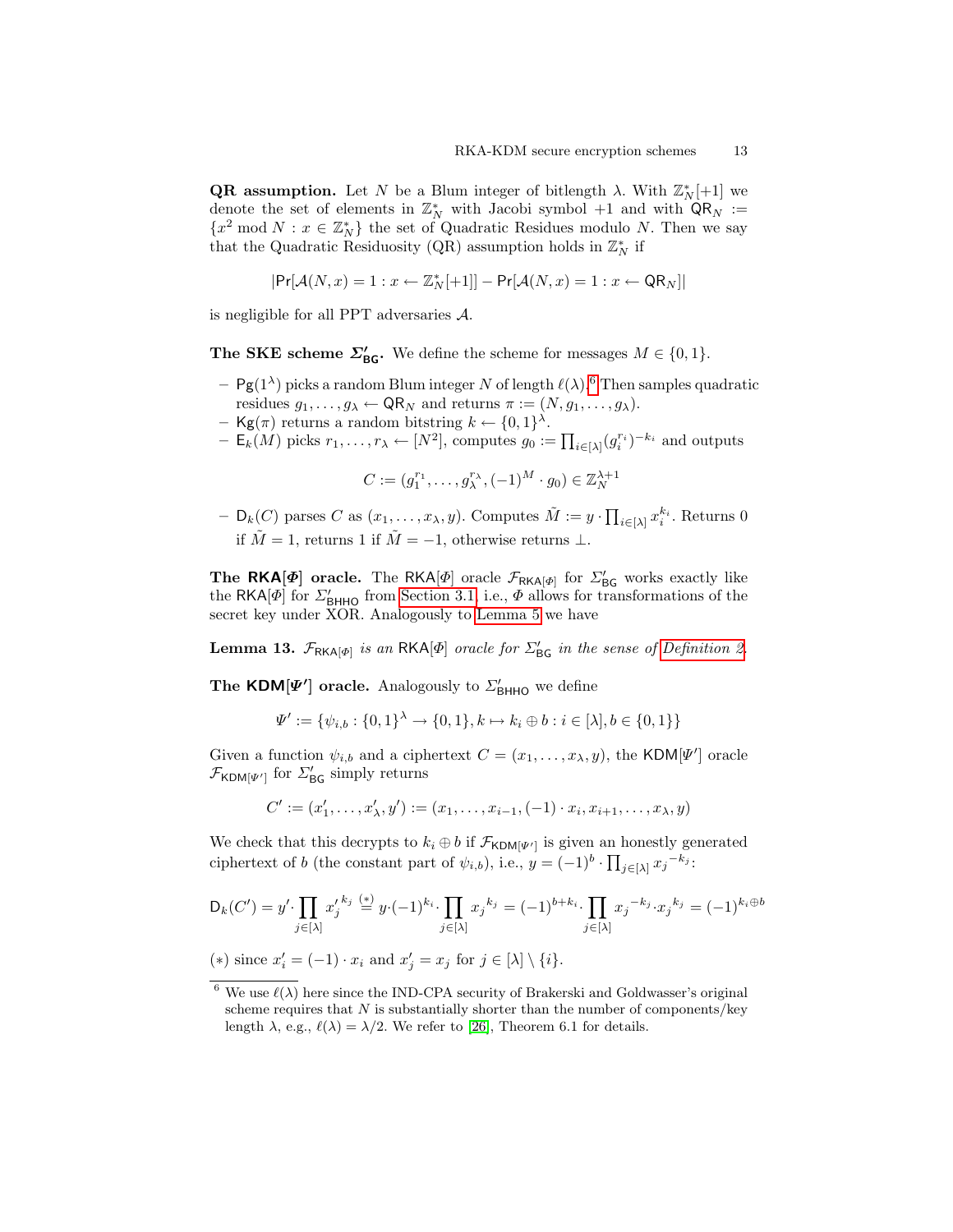**QR** assumption. Let N be a Blum integer of bitlength  $\lambda$ . With  $\mathbb{Z}_N^*$ [+1] we denote the set of elements in  $\mathbb{Z}_N^*$  with Jacobi symbol +1 and with  $\overrightarrow{QR}_N :=$  ${x^2 \mod N : x \in \mathbb{Z}_N^*}$  the set of Quadratic Residues modulo N. Then we say that the Quadratic Residuosity (QR) assumption holds in  $\mathbb{Z}_N^*$  if

$$
|\text{Pr}[\mathcal{A}(N,x)=1:x\leftarrow \mathbb{Z}_N^*[+1]]-\text{Pr}[\mathcal{A}(N,x)=1:x\leftarrow \text{QR}_N]|
$$

is negligible for all PPT adversaries A.

The SKE scheme  $\Sigma'_{BG}$ . We define the scheme for messages  $M \in \{0,1\}$ .

- $-$  Pg(1<sup> $\lambda$ </sup>) picks a random Blum integer N of length  $\ell(\lambda)$ .<sup>[6](#page-12-0)</sup> Then samples quadratic residues  $g_1, \ldots, g_\lambda \leftarrow \mathsf{QR}_N$  and returns  $\pi := (N, g_1, \ldots, g_\lambda)$ .
- Kg( $\pi$ ) returns a random bitstring  $k \leftarrow \{0, 1\}^{\lambda}$ .
- $\mathsf{E}_k(M)$  picks  $r_1, \ldots, r_\lambda \leftarrow [N^2]$ , computes  $g_0 := \prod_{i \in [\lambda]} (g_i^{r_i})^{-k_i}$  and outputs

 $C := (g_1^{r_1}, \dots, g_{\lambda}^{r_{\lambda}}, (-1)^M \cdot g_0) \in \mathbb{Z}_{N}^{\lambda+1}$ 

-  $D_k(C)$  parses C as  $(x_1, \ldots, x_\lambda, y)$ . Computes  $\tilde{M} := y \cdot \prod_{i \in [\lambda]} x_i^{k_i}$ . Returns 0 if  $\tilde{M} = 1$ , returns 1 if  $\tilde{M} = -1$ , otherwise returns ⊥.

The RKA[ $\Phi$ ] oracle. The RKA[ $\Phi$ ] oracle  $\mathcal{F}_{RKA}[\Phi]$  for  $\Sigma'_{BG}$  works exactly like the RKA[ $\Phi$ ] for  $\Sigma'_{\mathsf{BHHO}}$  from [Section 3.1,](#page-6-2) i.e.,  $\Phi$  allows for transformations of the secret key under XOR. Analogously to [Lemma 5](#page-7-0) we have

<span id="page-12-1"></span>**Lemma 13.**  $\mathcal{F}_{\mathsf{RKA}[\Phi]}$  is an  $\mathsf{RKA}[\Phi]$  oracle for  $\Sigma'_{\mathsf{BG}}$  in the sense of [Definition 2.](#page-5-2)

The KDM $[\Psi']$  oracle. Analogously to  $\Sigma'_{\mathsf{BHHO}}$  we define

$$
\Psi' := \{ \psi_{i,b} : \{0,1\}^\lambda \to \{0,1\}, k \mapsto k_i \oplus b : i \in [\lambda], b \in \{0,1\} \}
$$

Given a function  $\psi_{i,b}$  and a ciphertext  $C = (x_1, \ldots, x_\lambda, y)$ , the KDM[ $\Psi'$ ] oracle  $\mathcal{F}_{\text{KDM}[\Psi']}$  for  $\Sigma'_{\text{BG}}$  simply returns

$$
C' := (x'_1, \dots, x'_\lambda, y') := (x_1, \dots, x_{i-1}, (-1) \cdot x_i, x_{i+1}, \dots, x_\lambda, y)
$$

We check that this decrypts to  $k_i \oplus b$  if  $\mathcal{F}_{\mathsf{KDM}[\Psi']}$  is given an honestly generated ciphertext of b (the constant part of  $\psi_{i,b}$ ), i.e.,  $y = (-1)^b \cdot \prod_{j \in [\lambda]} x_j^{-k_j}$ :

$$
D_k(C') = y' \cdot \prod_{j \in [\lambda]} x'_j^{k_j} \stackrel{(*)}{=} y \cdot (-1)^{k_i} \cdot \prod_{j \in [\lambda]} x_j^{k_j} = (-1)^{b+k_i} \cdot \prod_{j \in [\lambda]} x_j^{-k_j} \cdot x_j^{k_j} = (-1)^{k_i \oplus b}
$$

(\*) since  $x'_i = (-1) \cdot x_i$  and  $x'_j = x_j$  for  $j \in [\lambda] \setminus \{i\}.$ 

<span id="page-12-2"></span><span id="page-12-0"></span><sup>&</sup>lt;sup>6</sup> We use  $\ell(\lambda)$  here since the IND-CPA security of Brakerski and Goldwasser's original scheme requires that  $N$  is substantially shorter than the number of components/key length  $\lambda$ , e.g.,  $\ell(\lambda) = \lambda/2$ . We refer to [\[26\]](#page-17-8), Theorem 6.1 for details.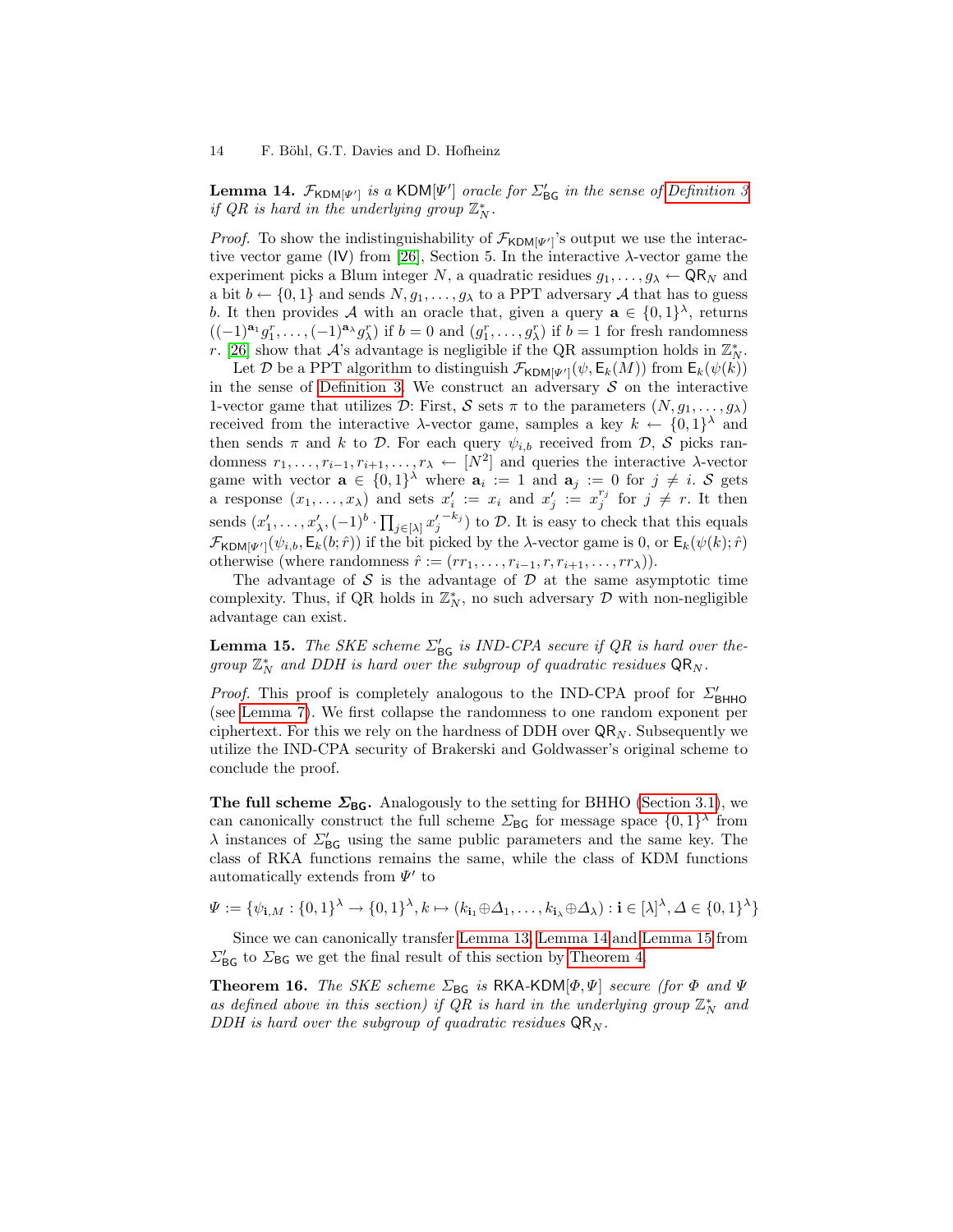**Lemma 14.**  $\mathcal{F}_{\mathsf{KDM}[\Psi']}$  is a  $\mathsf{KDM}[\Psi']$  oracle for  $\Sigma'_{\mathsf{BG}}$  in the sense of [Definition 3](#page-5-3) if QR is hard in the underlying group  $\mathbb{Z}_N^*$ .

*Proof.* To show the indistinguishability of  $\mathcal{F}_{KDM[\Psi']}$ 's output we use the interactive vector game  $(V)$  from [\[26\]](#page-17-8), Section 5. In the interactive  $\lambda$ -vector game the experiment picks a Blum integer N, a quadratic residues  $g_1, \ldots, g_\lambda \leftarrow \mathsf{QR}_N$  and a bit  $b \leftarrow \{0, 1\}$  and sends  $N, g_1, \ldots, g_\lambda$  to a PPT adversary A that has to guess b. It then provides A with an oracle that, given a query  $\mathbf{a} \in \{0,1\}^{\lambda}$ , returns  $((-1)^{\mathbf{a}_1}g_1^r,\ldots,(-1)^{\mathbf{a}_\lambda}g_\lambda^r)$  if  $b=0$  and  $(g_1^r,\ldots,g_\lambda^r)$  if  $b=1$  for fresh randomness r. [\[26\]](#page-17-8) show that A's advantage is negligible if the QR assumption holds in  $\mathbb{Z}_N^*$ .

Let D be a PPT algorithm to distinguish  $\mathcal{F}_{\mathsf{KDM}[\Psi']}(\psi, \mathsf{E}_k(M))$  from  $\mathsf{E}_k(\psi(k))$ in the sense of [Definition 3.](#page-5-3) We construct an adversary  $S$  on the interactive 1-vector game that utilizes  $\mathcal{D}$ : First,  $\mathcal{S}$  sets  $\pi$  to the parameters  $(N, g_1, \ldots, g_\lambda)$ received from the interactive  $\lambda$ -vector game, samples a key  $k \leftarrow \{0,1\}^{\lambda}$  and then sends  $\pi$  and k to D. For each query  $\psi_{i,b}$  received from D, S picks randomness  $r_1, \ldots, r_{i-1}, r_{i+1}, \ldots, r_{\lambda} \leftarrow [N^2]$  and queries the interactive  $\lambda$ -vector game with vector  $\mathbf{a} \in \{0,1\}^{\lambda}$  where  $\mathbf{a}_i := 1$  and  $\mathbf{a}_j := 0$  for  $j \neq i$ . S gets a response  $(x_1, \ldots, x_\lambda)$  and sets  $x'_i := x_i$  and  $x'_j := x_j^{r_j}$  for  $j \neq r$ . It then sends  $(x'_1,\ldots,x'_\lambda,(-1)^b\cdot\prod_{j\in[\lambda]}{x'_j}^{-k_j})$  to  $\mathcal D$ . It is easy to check that this equals  $\mathcal{F}_{\textsf{KDM}[\Psi']}(\psi_{i,b}, \mathsf{E}_k(b;\hat{r}))$  if the bit picked by the  $\lambda$ -vector game is 0, or  $\mathsf{E}_k(\psi(k); \hat{r})$ otherwise (where randomness  $\hat{r} := (rr_1, \ldots, r_{i-1}, r, r_{i+1}, \ldots, rr_\lambda)).$ 

The advantage of  $S$  is the advantage of  $D$  at the same asymptotic time complexity. Thus, if QR holds in  $\mathbb{Z}_N^*$ , no such adversary  $\mathcal D$  with non-negligible advantage can exist.

<span id="page-13-0"></span>**Lemma 15.** The SKE scheme  $\Sigma_{BG}$  is IND-CPA secure if QR is hard over thegroup  $\mathbb{Z}_N^*$  and DDH is hard over the subgroup of quadratic residues  $\mathsf{QR}_N$ .

*Proof.* This proof is completely analogous to the IND-CPA proof for  $\Sigma'_{\text{BHHO}}$ (see [Lemma 7\)](#page-8-0). We first collapse the randomness to one random exponent per ciphertext. For this we rely on the hardness of DDH over  $QR_N$ . Subsequently we utilize the IND-CPA security of Brakerski and Goldwasser's original scheme to conclude the proof.

The full scheme  $\Sigma_{BG}$ . Analogously to the setting for BHHO [\(Section 3.1\)](#page-6-2), we can canonically construct the full scheme  $\Sigma_{\text{BG}}$  for message space  $\{0,1\}^{\lambda}$  from  $\lambda$  instances of  $\Sigma'_{\text{BG}}$  using the same public parameters and the same key. The class of RKA functions remains the same, while the class of KDM functions automatically extends from  $\Psi'$  to

$$
\Psi := \{ \psi_{\mathbf{i},M} : \{0,1\}^\lambda \to \{0,1\}^\lambda, k \mapsto (k_{\mathbf{i}_1} \oplus \Delta_1, \dots, k_{\mathbf{i}_\lambda} \oplus \Delta_\lambda) : \mathbf{i} \in [\lambda]^\lambda, \Delta \in \{0,1\}^\lambda \}
$$

Since we can canonically transfer [Lemma 13,](#page-12-1) [Lemma 14](#page-12-2) and [Lemma 15](#page-13-0) from  $\Sigma'_{\text{BG}}$  to  $\Sigma_{\text{BG}}$  we get the final result of this section by [Theorem 4.](#page-5-4)

**Theorem 16.** The SKE scheme  $\Sigma_{BG}$  is RKA-KDM $[\Phi, \Psi]$  secure (for  $\Phi$  and  $\Psi$ as defined above in this section) if QR is hard in the underlying group  $\mathbb{Z}_N^*$  and DDH is hard over the subgroup of quadratic residues  $QR_N$ .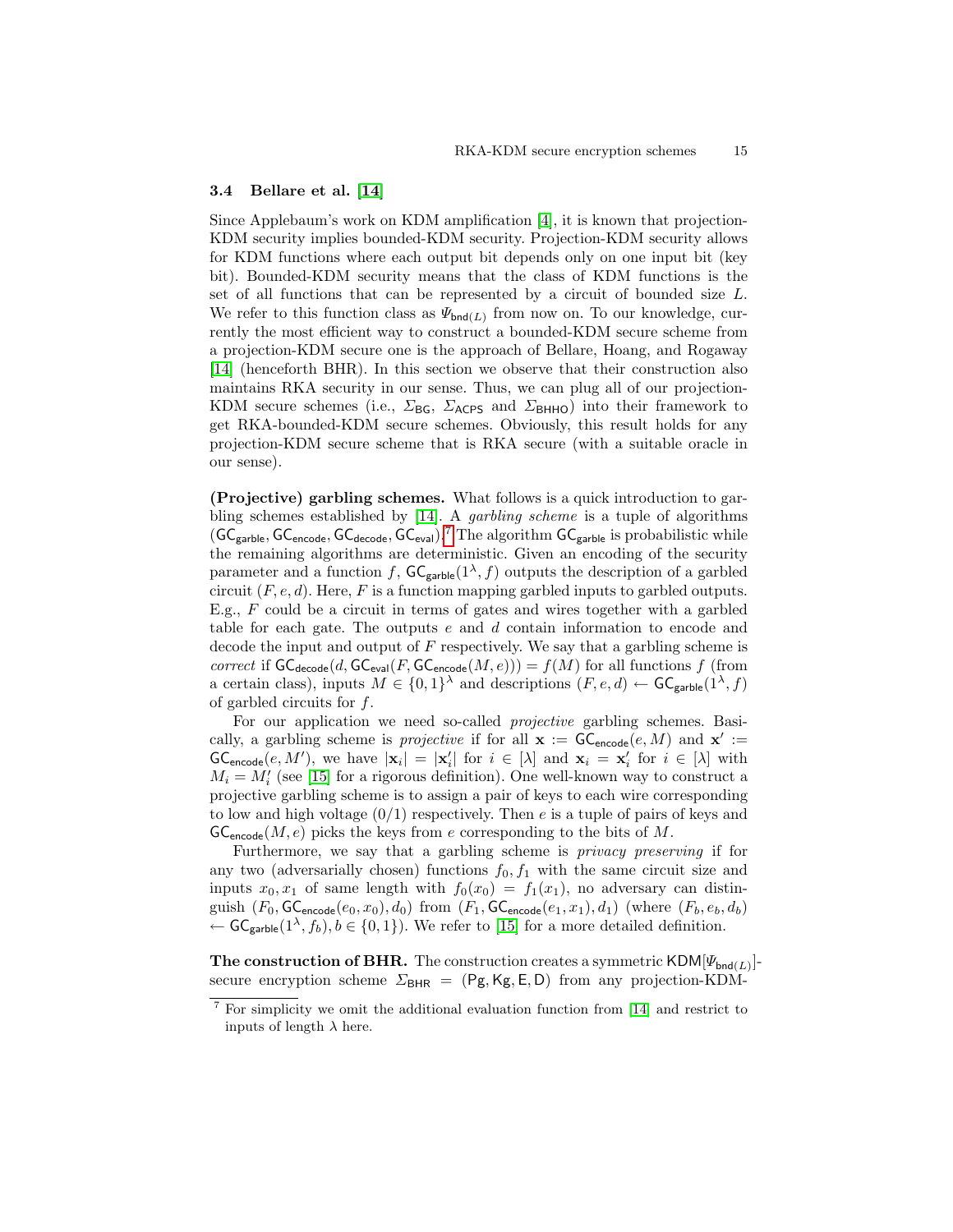## 3.4 Bellare et al. [\[14\]](#page-16-15)

Since Applebaum's work on KDM amplification [\[4\]](#page-16-8), it is known that projection-KDM security implies bounded-KDM security. Projection-KDM security allows for KDM functions where each output bit depends only on one input bit (key bit). Bounded-KDM security means that the class of KDM functions is the set of all functions that can be represented by a circuit of bounded size L. We refer to this function class as  $\Psi_{\text{bnd}(L)}$  from now on. To our knowledge, currently the most efficient way to construct a bounded-KDM secure scheme from a projection-KDM secure one is the approach of Bellare, Hoang, and Rogaway [\[14\]](#page-16-15) (henceforth BHR). In this section we observe that their construction also maintains RKA security in our sense. Thus, we can plug all of our projection-KDM secure schemes (i.e.,  $\Sigma_{BG}$ ,  $\Sigma_{ACPS}$  and  $\Sigma_{BHHO}$ ) into their framework to get RKA-bounded-KDM secure schemes. Obviously, this result holds for any projection-KDM secure scheme that is RKA secure (with a suitable oracle in our sense).

(Projective) garbling schemes. What follows is a quick introduction to garbling schemes established by [\[14\]](#page-16-15). A garbling scheme is a tuple of algorithms  $(GC_{garble}, GC_{encode}, GC_{decode}, GC_{eval}).$ <sup>[7](#page-14-0)</sup> The algorithm  $GC_{garble}$  is probabilistic while the remaining algorithms are deterministic. Given an encoding of the security parameter and a function f,  $\mathsf{GC}_{\mathsf{garble}}(1^{\lambda}, f)$  outputs the description of a garbled circuit  $(F, e, d)$ . Here, F is a function mapping garbled inputs to garbled outputs. E.g., F could be a circuit in terms of gates and wires together with a garbled table for each gate. The outputs e and d contain information to encode and decode the input and output of  $F$  respectively. We say that a garbling scheme is correct if  $\mathsf{GC}_{\mathsf{decode}}(d, \mathsf{GC}_{\mathsf{eval}}(F, \mathsf{GC}_{\mathsf{encode}}(M, e))) = f(M)$  for all functions f (from a certain class), inputs  $M \in \{0,1\}^{\lambda}$  and descriptions  $(F, e, d) \leftarrow \mathsf{GC}_{\mathsf{garble}}(1^{\lambda}, f)$ of garbled circuits for f.

For our application we need so-called projective garbling schemes. Basically, a garbling scheme is *projective* if for all  $x := GC_{\text{encode}}(e, M)$  and  $x' :=$  $\mathsf{GC}_{\mathsf{encode}}(e, M')$ , we have  $|\mathbf{x}_i| = |\mathbf{x}'_i|$  for  $i \in [\lambda]$  and  $\mathbf{x}_i = \mathbf{x}'_i$  for  $i \in [\lambda]$  with  $M_i = M_i^\prime$  (see [\[15\]](#page-16-17) for a rigorous definition). One well-known way to construct a projective garbling scheme is to assign a pair of keys to each wire corresponding to low and high voltage  $(0/1)$  respectively. Then e is a tuple of pairs of keys and  $\mathsf{GC}_{\mathsf{encode}}(M, e)$  picks the keys from e corresponding to the bits of M.

Furthermore, we say that a garbling scheme is privacy preserving if for any two (adversarially chosen) functions  $f_0, f_1$  with the same circuit size and inputs  $x_0, x_1$  of same length with  $f_0(x_0) = f_1(x_1)$ , no adversary can distinguish  $(F_0, \mathsf{GC}_{\mathsf{encode}}(e_0, x_0), d_0)$  from  $(F_1, \mathsf{GC}_{\mathsf{encode}}(e_1, x_1), d_1)$  (where  $(F_b, e_b, d_b)$  $\leftarrow$  GC<sub>garble</sub> $(1^{\lambda}, f_b), b \in \{0, 1\}$ . We refer to [\[15\]](#page-16-17) for a more detailed definition.

**The construction of BHR.** The construction creates a symmetric  $\text{KDM}[\Psi_{\text{bnd}(L)}]$ secure encryption scheme  $\Sigma_{\text{BHR}} = (\text{Pg}, \text{Kg}, \text{E}, \text{D})$  from any projection-KDM-

<span id="page-14-0"></span><sup>7</sup> For simplicity we omit the additional evaluation function from [\[14\]](#page-16-15) and restrict to inputs of length  $\lambda$  here.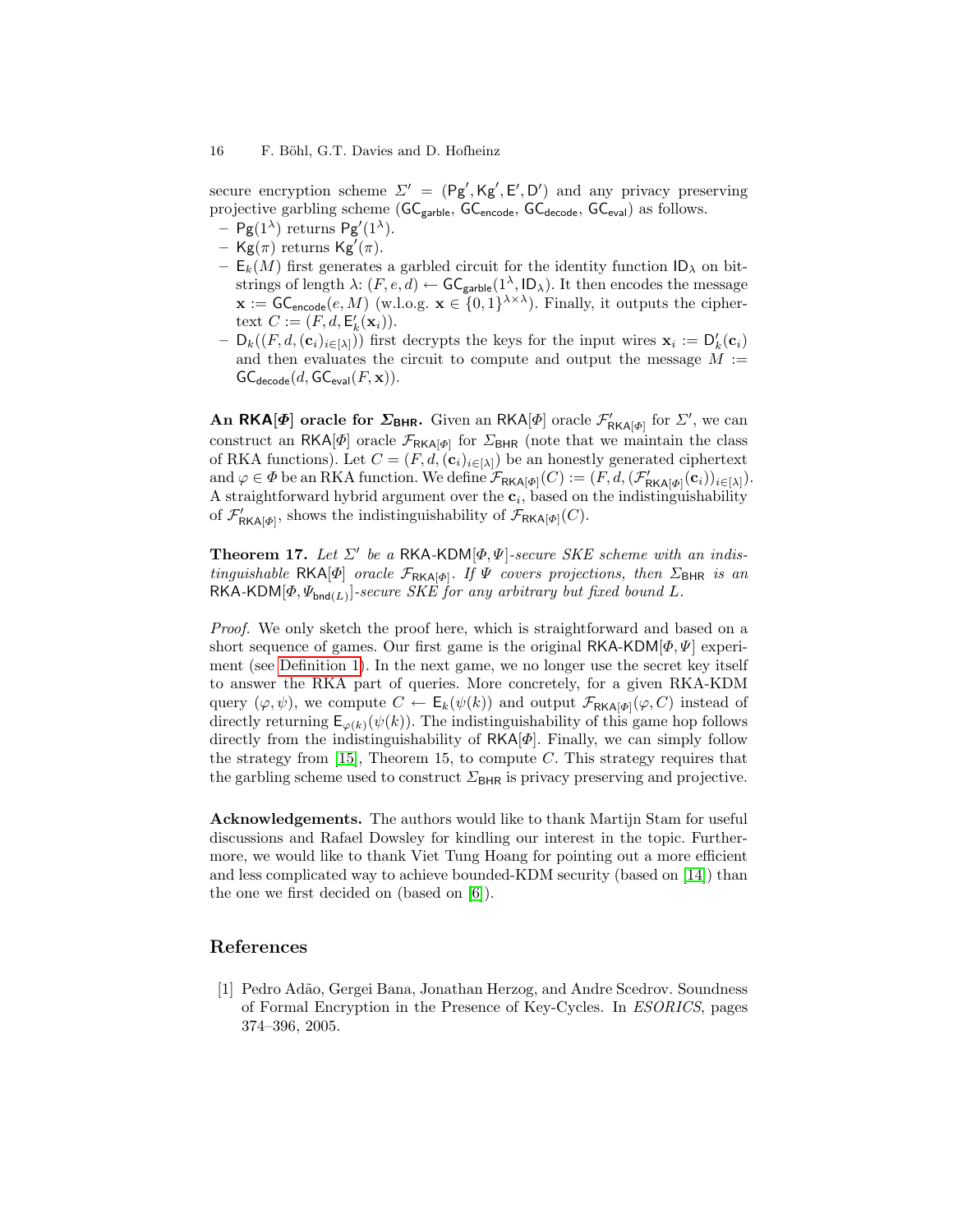secure encryption scheme  $\Sigma' = (\mathsf{Pg}', \mathsf{Kg}', \mathsf{E}', \mathsf{D}')$  and any privacy preserving projective garbling scheme ( $GC_{garble}$ ,  $GC_{encode}$ ,  $GC_{decode}$ ,  $GC_{eval}$ ) as follows.

- $-$  Pg(1<sup> $\lambda$ </sup>) returns Pg'(1<sup> $\lambda$ </sup>).
- Kg( $\pi$ ) returns Kg'( $\pi$ ).
- $E_k(M)$  first generates a garbled circuit for the identity function  $ID_\lambda$  on bitstrings of length  $\lambda: (F, e, d) \leftarrow$   $\mathsf{GC}_{\mathsf{garble}}(1^{\lambda}, \mathsf{ID}_{\lambda})$ . It then encodes the message  $\mathbf{x} := \mathsf{GC}_{\mathsf{encode}}(e, M)$  (w.l.o.g.  $\mathbf{x} \in \{0, 1\}^{\lambda \times \lambda}$ ). Finally, it outputs the ciphertext  $C := (F, d, \mathsf{E}'_k(\mathbf{x}_i)).$
- $D_k((F, d, (c_i)_{i\in[\lambda]}))$  first decrypts the keys for the input wires  $x_i := D'_k(c_i)$ and then evaluates the circuit to compute and output the message  $M :=$  $\mathsf{GC}_{\mathsf{decode}}(d, \mathsf{GC}_{\mathsf{eval}}(F, \mathbf{x})).$

An RKA[ $\Phi$ ] oracle for  $\Sigma_{\text{BHR}}$ . Given an RKA[ $\Phi$ ] oracle  $\mathcal{F}'_{\text{RKA}[\Phi]}$  for  $\Sigma'$ , we can construct an RKA[ $\Phi$ ] oracle  $\mathcal{F}_{\mathsf{RKA}[\Phi]}$  for  $\Sigma_{\mathsf{BHR}}$  (note that we maintain the class of RKA functions). Let  $C = (F, d, (c_i)_{i \in [\lambda]})$  be an honestly generated ciphertext and  $\varphi \in \Phi$  be an RKA function. We define  $\mathcal{F}_{\mathsf{RKA}[\Phi]}(C) := (F, d, (\mathcal{F}_{\mathsf{RKA}[\Phi]}'(\mathbf{c}_i))_{i \in [\lambda]})$ . A straightforward hybrid argument over the  $c_i$ , based on the indistinguishability of  $\mathcal{F}'_{\mathsf{RKA}[\Phi]}$ , shows the indistinguishability of  $\mathcal{F}_{\mathsf{RKA}[\Phi]}(C)$ .

**Theorem 17.** Let  $\Sigma'$  be a RKA-KDM[ $\Phi$ ,  $\Psi$ ]-secure SKE scheme with an indistinguishable RKA $[\Phi]$  oracle  $\mathcal{F}_{\mathsf{RKA}[\Phi]}$ . If  $\Psi$  covers projections, then  $\Sigma_{\mathsf{BHR}}$  is an  $RKA-KDM[\Phi, \Psi_{bnd(L)}]$ -secure SKE for any arbitrary but fixed bound L.

Proof. We only sketch the proof here, which is straightforward and based on a short sequence of games. Our first game is the original  $RKA-KDM[\Phi, \Psi]$  experiment (see [Definition 1\)](#page-4-0). In the next game, we no longer use the secret key itself to answer the RKA part of queries. More concretely, for a given RKA-KDM query  $(\varphi, \psi)$ , we compute  $C \leftarrow \mathsf{E}_k(\psi(k))$  and output  $\mathcal{F}_{\mathsf{RKA}[\Phi]}(\varphi, C)$  instead of directly returning  $\mathsf{E}_{\varphi(k)}(\psi(k))$ . The indistinguishability of this game hop follows directly from the indistinguishability of  $RKA[\Phi]$ . Finally, we can simply follow the strategy from [\[15\]](#page-16-17), Theorem 15, to compute  $C$ . This strategy requires that the garbling scheme used to construct  $\Sigma_{\text{BHR}}$  is privacy preserving and projective.

Acknowledgements. The authors would like to thank Martijn Stam for useful discussions and Rafael Dowsley for kindling our interest in the topic. Furthermore, we would like to thank Viet Tung Hoang for pointing out a more efficient and less complicated way to achieve bounded-KDM security (based on [\[14\]](#page-16-15)) than the one we first decided on (based on [\[6\]](#page-16-5)).

# References

<span id="page-15-0"></span>[1] Pedro Ad˜ao, Gergei Bana, Jonathan Herzog, and Andre Scedrov. Soundness of Formal Encryption in the Presence of Key-Cycles. In ESORICS, pages 374–396, 2005.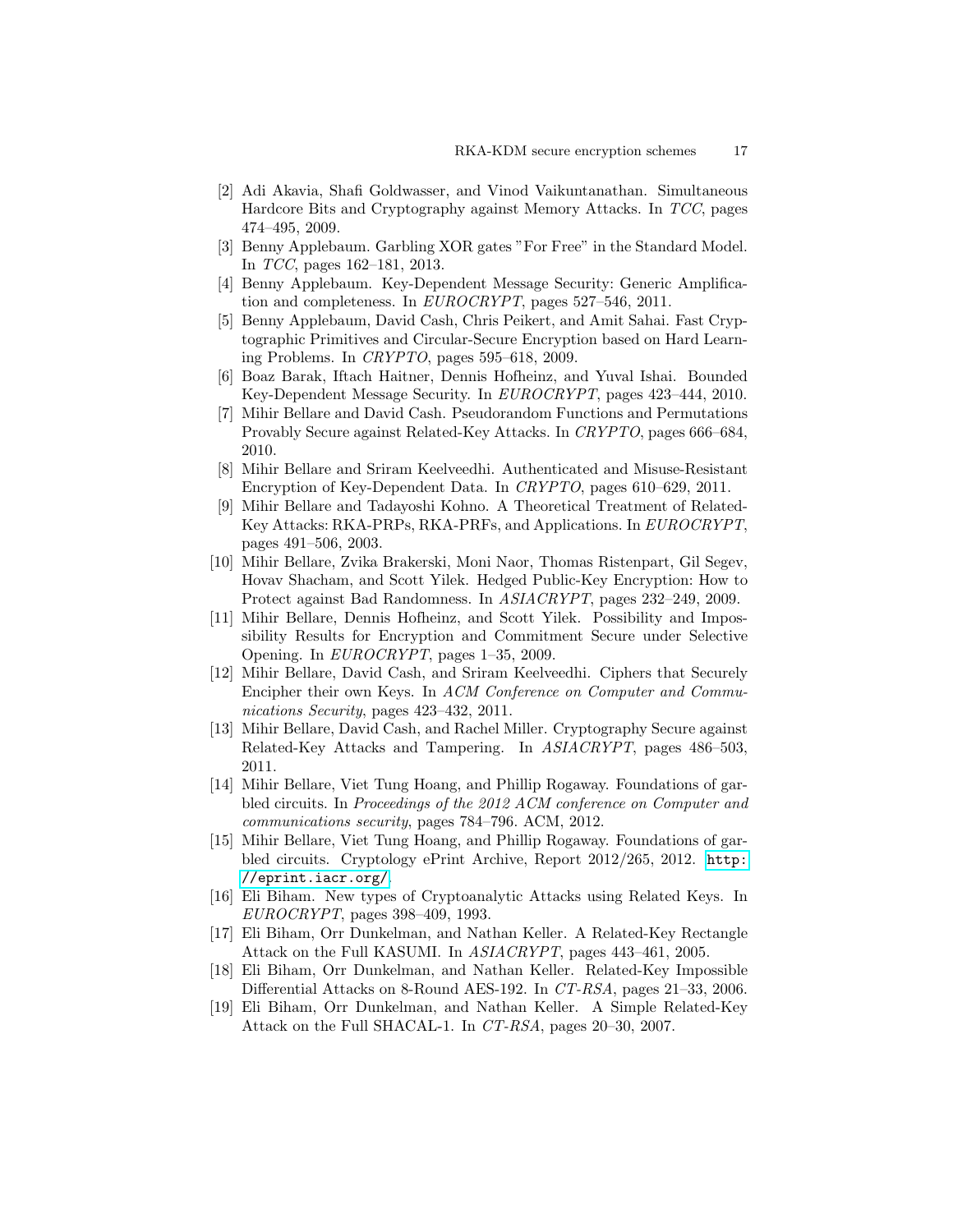- <span id="page-16-16"></span>[2] Adi Akavia, Shafi Goldwasser, and Vinod Vaikuntanathan. Simultaneous Hardcore Bits and Cryptography against Memory Attacks. In TCC, pages 474–495, 2009.
- <span id="page-16-3"></span>[3] Benny Applebaum. Garbling XOR gates "For Free" in the Standard Model. In TCC, pages 162–181, 2013.
- <span id="page-16-8"></span>[4] Benny Applebaum. Key-Dependent Message Security: Generic Amplification and completeness. In EUROCRYPT, pages 527–546, 2011.
- <span id="page-16-4"></span>[5] Benny Applebaum, David Cash, Chris Peikert, and Amit Sahai. Fast Cryptographic Primitives and Circular-Secure Encryption based on Hard Learning Problems. In CRYPTO, pages 595–618, 2009.
- <span id="page-16-5"></span>[6] Boaz Barak, Iftach Haitner, Dennis Hofheinz, and Yuval Ishai. Bounded Key-Dependent Message Security. In EUROCRYPT, pages 423–444, 2010.
- <span id="page-16-0"></span>[7] Mihir Bellare and David Cash. Pseudorandom Functions and Permutations Provably Secure against Related-Key Attacks. In CRYPTO, pages 666–684, 2010.
- <span id="page-16-6"></span>[8] Mihir Bellare and Sriram Keelveedhi. Authenticated and Misuse-Resistant Encryption of Key-Dependent Data. In CRYPTO, pages 610–629, 2011.
- <span id="page-16-9"></span>[9] Mihir Bellare and Tadayoshi Kohno. A Theoretical Treatment of Related-Key Attacks: RKA-PRPs, RKA-PRFs, and Applications. In EUROCRYPT, pages 491–506, 2003.
- <span id="page-16-1"></span>[10] Mihir Bellare, Zvika Brakerski, Moni Naor, Thomas Ristenpart, Gil Segev, Hovav Shacham, and Scott Yilek. Hedged Public-Key Encryption: How to Protect against Bad Randomness. In ASIACRYPT, pages 232–249, 2009.
- <span id="page-16-2"></span>[11] Mihir Bellare, Dennis Hofheinz, and Scott Yilek. Possibility and Impossibility Results for Encryption and Commitment Secure under Selective Opening. In EUROCRYPT, pages 1–35, 2009.
- <span id="page-16-7"></span>[12] Mihir Bellare, David Cash, and Sriram Keelveedhi. Ciphers that Securely Encipher their own Keys. In ACM Conference on Computer and Communications Security, pages 423–432, 2011.
- <span id="page-16-14"></span>[13] Mihir Bellare, David Cash, and Rachel Miller. Cryptography Secure against Related-Key Attacks and Tampering. In ASIACRYPT, pages 486–503, 2011.
- <span id="page-16-15"></span>[14] Mihir Bellare, Viet Tung Hoang, and Phillip Rogaway. Foundations of garbled circuits. In Proceedings of the 2012 ACM conference on Computer and communications security, pages 784–796. ACM, 2012.
- <span id="page-16-17"></span>[15] Mihir Bellare, Viet Tung Hoang, and Phillip Rogaway. Foundations of garbled circuits. Cryptology ePrint Archive, Report 2012/265, 2012. [http:](http://eprint.iacr.org/) [//eprint.iacr.org/](http://eprint.iacr.org/).
- <span id="page-16-10"></span>[16] Eli Biham. New types of Cryptoanalytic Attacks using Related Keys. In EUROCRYPT, pages 398–409, 1993.
- <span id="page-16-11"></span>[17] Eli Biham, Orr Dunkelman, and Nathan Keller. A Related-Key Rectangle Attack on the Full KASUMI. In ASIACRYPT, pages 443–461, 2005.
- <span id="page-16-12"></span>[18] Eli Biham, Orr Dunkelman, and Nathan Keller. Related-Key Impossible Differential Attacks on 8-Round AES-192. In CT-RSA, pages 21–33, 2006.
- <span id="page-16-13"></span>[19] Eli Biham, Orr Dunkelman, and Nathan Keller. A Simple Related-Key Attack on the Full SHACAL-1. In CT-RSA, pages 20–30, 2007.